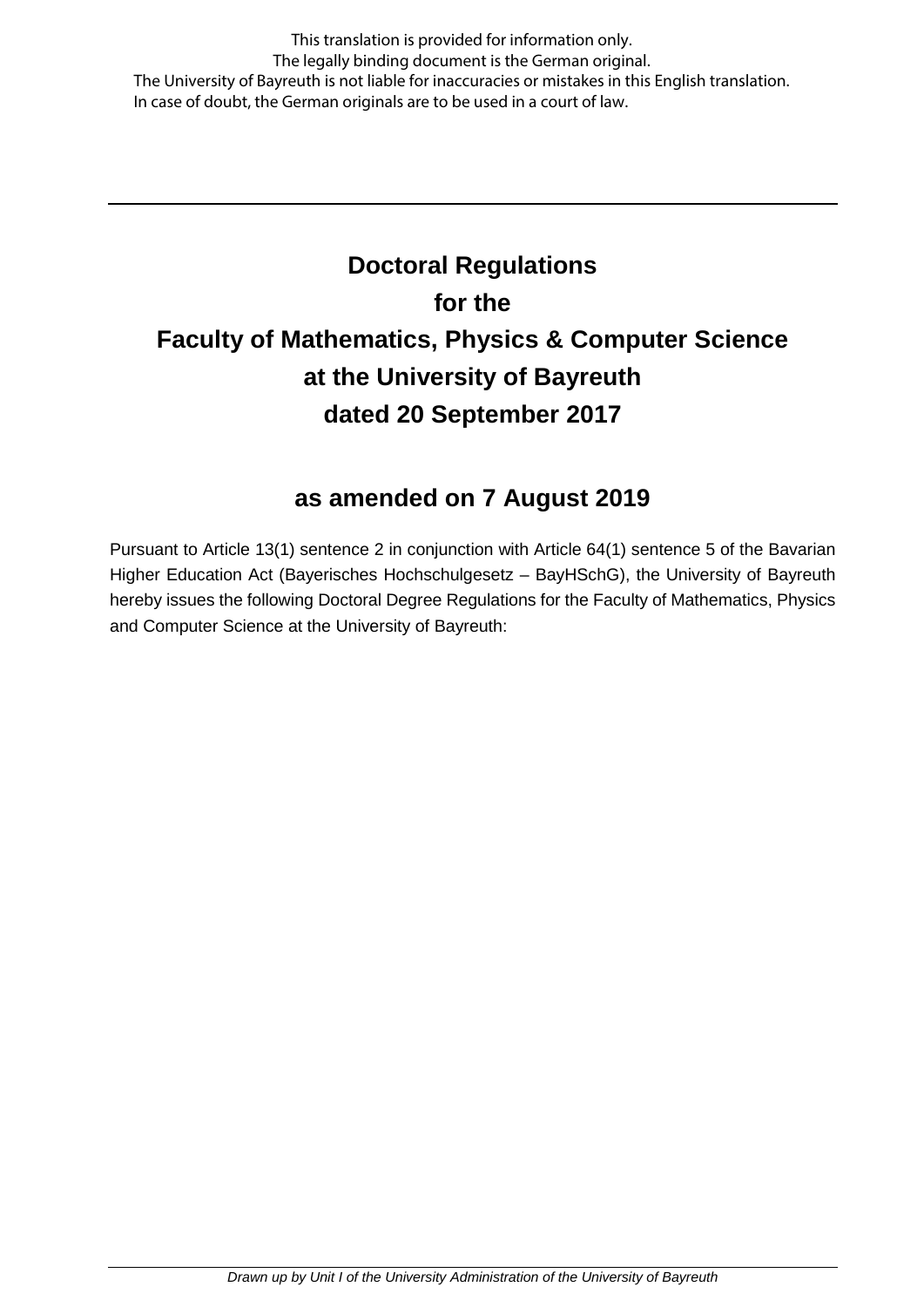This translation is provided for information only. The legally binding document is the German original. The University of Bayreuth is not liable for inaccuracies or mistakes in this English translation. In case of doubt, the German originals are to be used in a court of law.

# **Doctoral Regulations for the Faculty of Mathematics, Physics & Computer Science at the University of Bayreuth dated 20 September 2017**

# **as amended on 7 August 2019**

Pursuant to Article 13(1) sentence 2 in conjunction with Article 64(1) sentence 5 of the Bavarian Higher Education Act (Bayerisches Hochschulgesetz – BayHSchG), the University of Bayreuth hereby issues the following Doctoral Degree Regulations for the Faculty of Mathematics, Physics and Computer Science at the University of Bayreuth: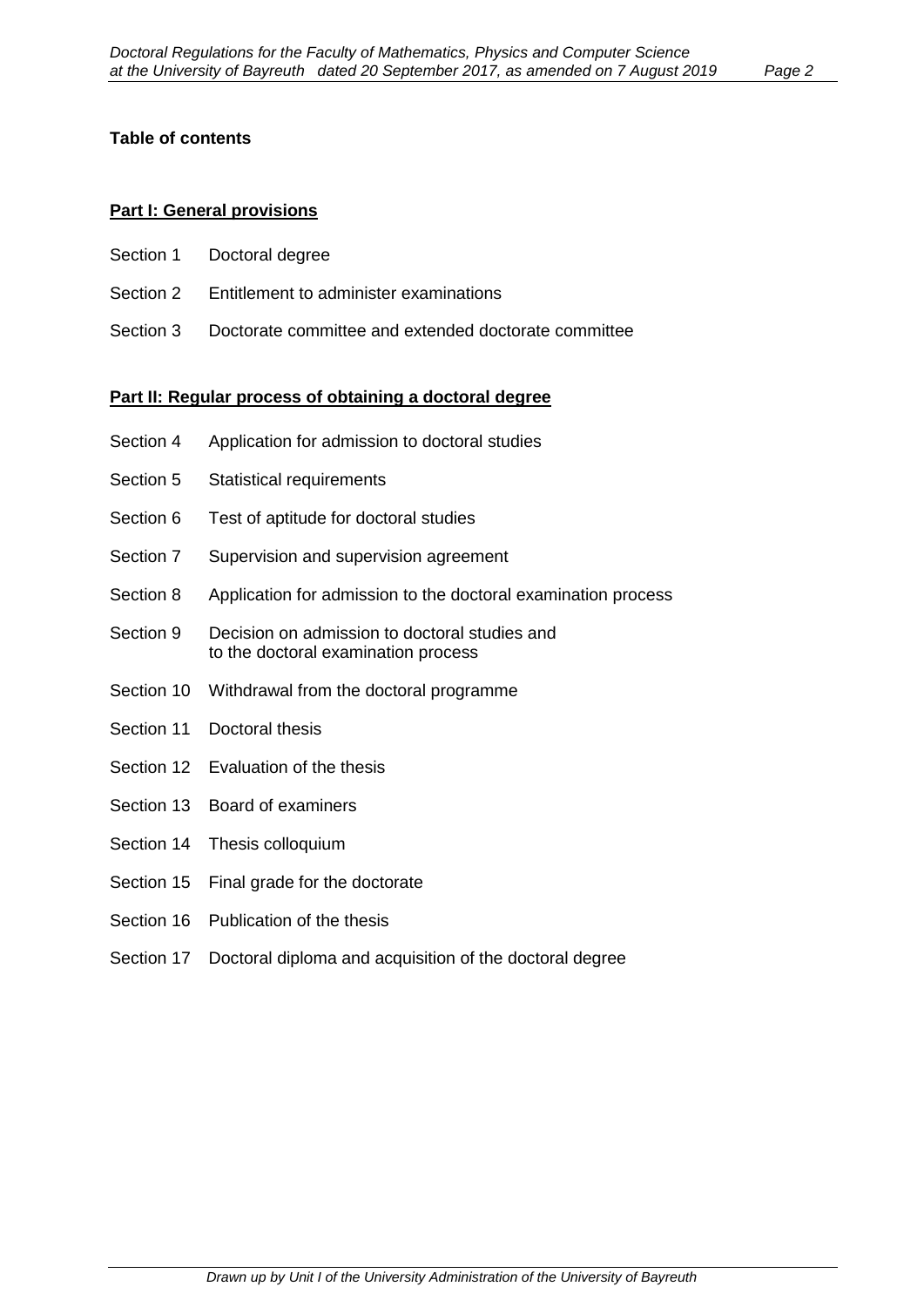#### **Table of contents**

#### **Part I: General provisions**

- Section 1 Doctoral degree
- Section 2 Entitlement to administer examinations
- Section 3 Doctorate committee and extended doctorate committee

#### **Part II: Regular process of obtaining a doctoral degree**

- Section 4 Application for admission to doctoral studies
- Section 5 Statistical requirements
- Section 6 Test of aptitude for doctoral studies
- Section 7 Supervision and supervision agreement
- Section 8 Application for admission to the doctoral examination process
- Section 9 Decision on admission to doctoral studies and to the doctoral examination process
- Section 10 Withdrawal from the doctoral programme
- Section 11 Doctoral thesis
- Section 12 Evaluation of the thesis
- Section 13 Board of examiners
- Section 14 Thesis colloquium
- Section 15 Final grade for the doctorate
- Section 16 Publication of the thesis
- Section 17 Doctoral diploma and acquisition of the doctoral degree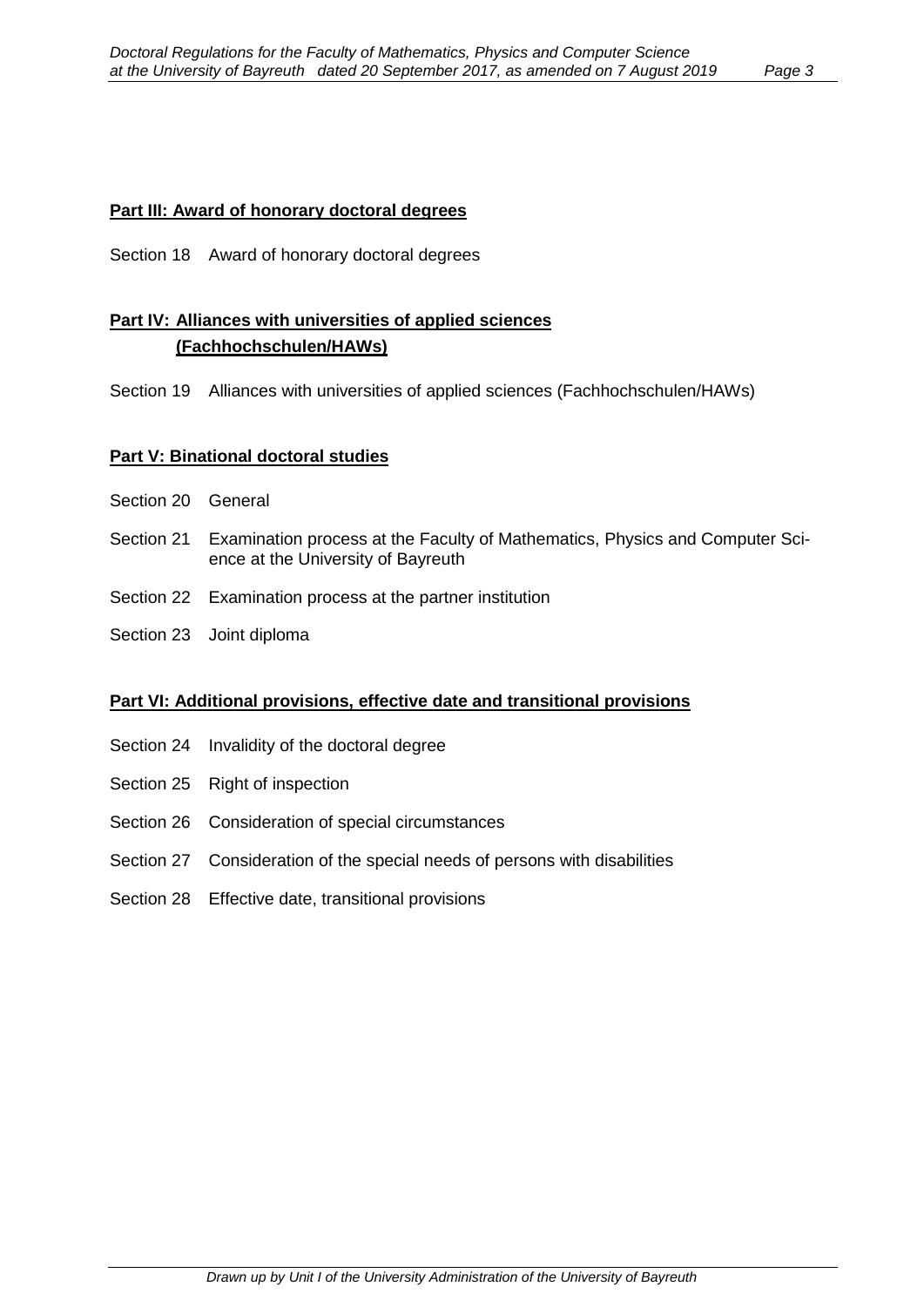#### **Part III: Award of honorary doctoral degrees**

Section 18 Award of honorary doctoral degrees

#### **Part IV: Alliances with universities of applied sciences (Fachhochschulen/HAWs)**

Section 19 Alliances with universities of applied sciences (Fachhochschulen/HAWs)

#### **Part V: Binational doctoral studies**

- Section 20 General
- Section 21 Examination process at the Faculty of Mathematics, Physics and Computer Science at the University of Bayreuth
- Section 22 Examination process at the partner institution
- Section 23 Joint diploma

#### **Part VI: Additional provisions, effective date and transitional provisions**

- Section 24 Invalidity of the doctoral degree
- Section 25 Right of inspection
- Section 26 Consideration of special circumstances
- Section 27 Consideration of the special needs of persons with disabilities
- Section 28 Effective date, transitional provisions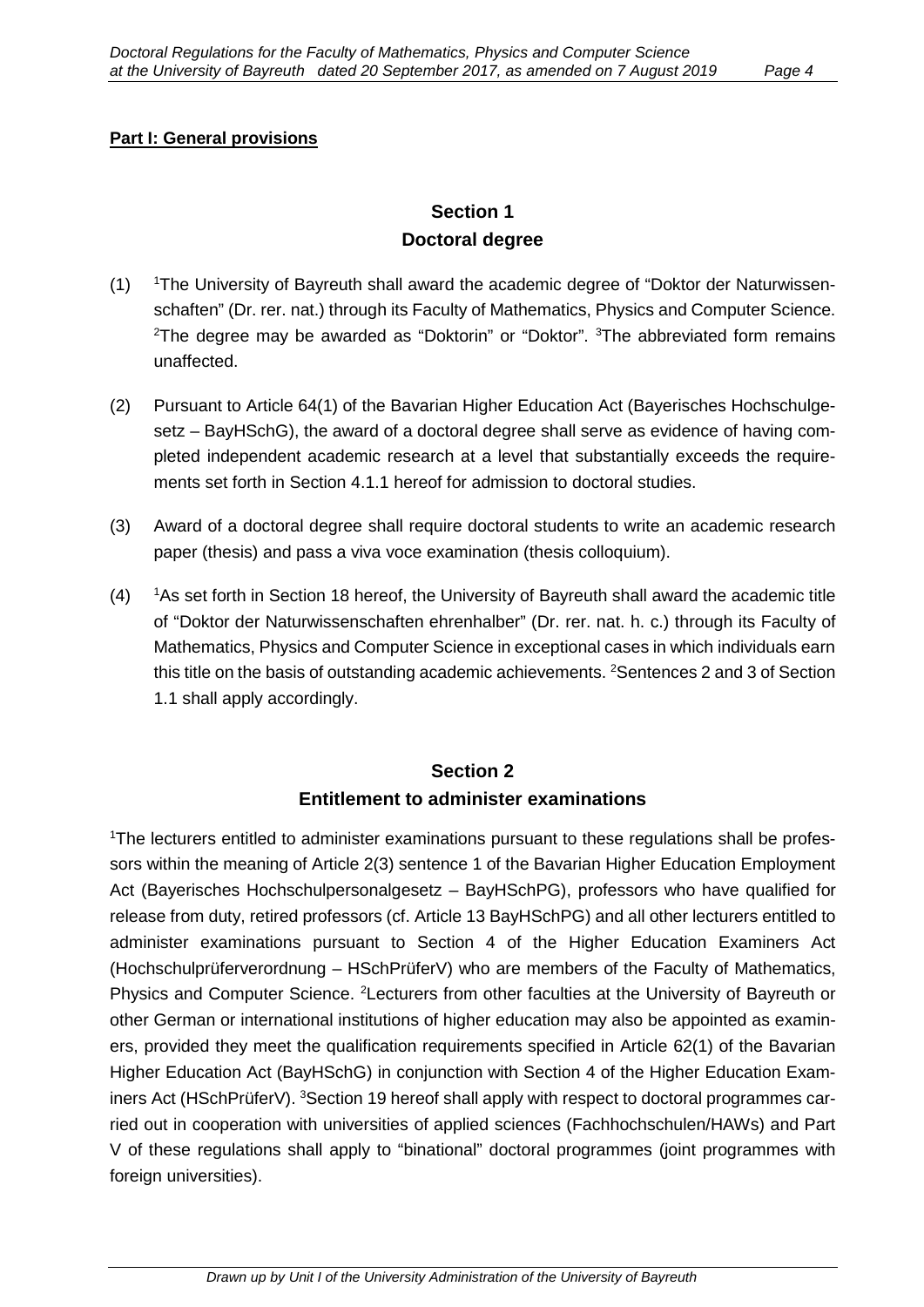#### **Part I: General provisions**

### **Section 1 Doctoral degree**

- $(1)$ The University of Bayreuth shall award the academic degree of "Doktor der Naturwissenschaften" (Dr. rer. nat.) through its Faculty of Mathematics, Physics and Computer Science. <sup>2</sup>The degree may be awarded as "Doktorin" or "Doktor". <sup>3</sup>The abbreviated form remains unaffected.
- (2) Pursuant to Article 64(1) of the Bavarian Higher Education Act (Bayerisches Hochschulgesetz – BayHSchG), the award of a doctoral degree shall serve as evidence of having completed independent academic research at a level that substantially exceeds the requirements set forth in Section 4.1.1 hereof for admission to doctoral studies.
- (3) Award of a doctoral degree shall require doctoral students to write an academic research paper (thesis) and pass a viva voce examination (thesis colloquium).
- $(4)$ <sup>1</sup> As set forth in Section 18 hereof, the University of Bayreuth shall award the academic title of "Doktor der Naturwissenschaften ehrenhalber" (Dr. rer. nat. h. c.) through its Faculty of Mathematics, Physics and Computer Science in exceptional cases in which individuals earn this title on the basis of outstanding academic achievements. <sup>2</sup>Sentences 2 and 3 of Section 1.1 shall apply accordingly.

# **Section 2 Entitlement to administer examinations**

<sup>1</sup>The lecturers entitled to administer examinations pursuant to these regulations shall be professors within the meaning of Article 2(3) sentence 1 of the Bavarian Higher Education Employment Act (Bayerisches Hochschulpersonalgesetz – BayHSchPG), professors who have qualified for release from duty, retired professors (cf. Article 13 BayHSchPG) and all other lecturers entitled to administer examinations pursuant to Section 4 of the Higher Education Examiners Act (Hochschulprüferverordnung – HSchPrüferV) who are members of the Faculty of Mathematics, Physics and Computer Science. <sup>2</sup>Lecturers from other faculties at the University of Bayreuth or other German or international institutions of higher education may also be appointed as examiners, provided they meet the qualification requirements specified in Article 62(1) of the Bavarian Higher Education Act (BayHSchG) in conjunction with Section 4 of the Higher Education Examiners Act (HSchPrüferV). <sup>3</sup>Section 19 hereof shall apply with respect to doctoral programmes carried out in cooperation with universities of applied sciences (Fachhochschulen/HAWs) and Part V of these regulations shall apply to "binational" doctoral programmes (joint programmes with foreign universities).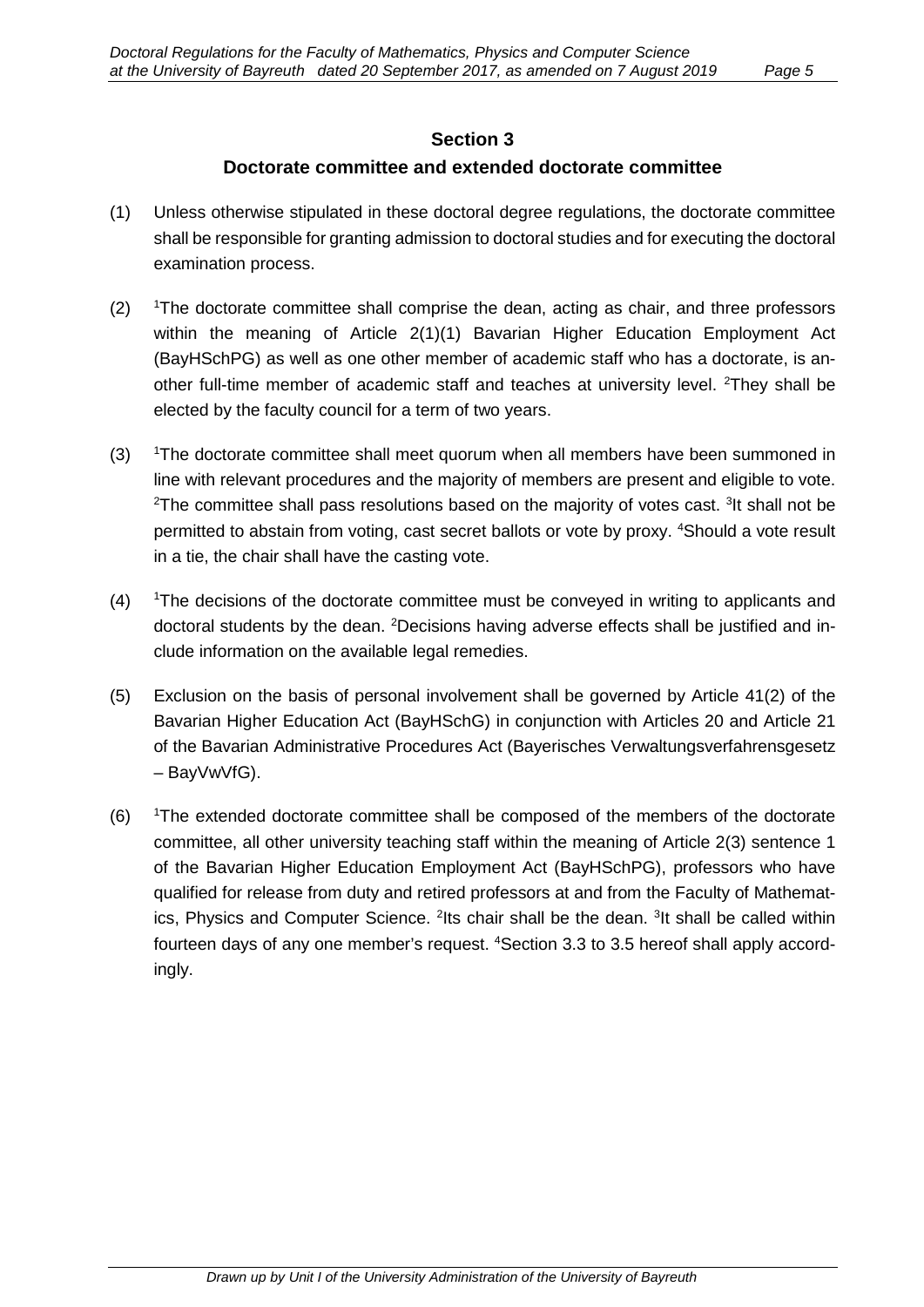#### **Section 3**

#### **Doctorate committee and extended doctorate committee**

- (1) Unless otherwise stipulated in these doctoral degree regulations, the doctorate committee shall be responsible for granting admission to doctoral studies and for executing the doctoral examination process.
- $(2)$ The doctorate committee shall comprise the dean, acting as chair, and three professors within the meaning of Article 2(1)(1) Bavarian Higher Education Employment Act (BayHSchPG) as well as one other member of academic staff who has a doctorate, is another full-time member of academic staff and teaches at university level. <sup>2</sup>They shall be elected by the faculty council for a term of two years.
- $(3)$ <sup>1</sup>The doctorate committee shall meet quorum when all members have been summoned in line with relevant procedures and the majority of members are present and eligible to vote.  $^{2}$ The committee shall pass resolutions based on the majority of votes cast.  $^{3}$ It shall not be permitted to abstain from voting, cast secret ballots or vote by proxy. <sup>4</sup>Should a vote result in a tie, the chair shall have the casting vote.
- $(4)$ The decisions of the doctorate committee must be conveyed in writing to applicants and doctoral students by the dean. <sup>2</sup>Decisions having adverse effects shall be justified and include information on the available legal remedies.
- (5) Exclusion on the basis of personal involvement shall be governed by Article 41(2) of the Bavarian Higher Education Act (BayHSchG) in conjunction with Articles 20 and Article 21 of the Bavarian Administrative Procedures Act (Bayerisches Verwaltungsverfahrensgesetz – BayVwVfG).
- $(6)$ <sup>1</sup>The extended doctorate committee shall be composed of the members of the doctorate committee, all other university teaching staff within the meaning of Article 2(3) sentence 1 of the Bavarian Higher Education Employment Act (BayHSchPG), professors who have qualified for release from duty and retired professors at and from the Faculty of Mathematics, Physics and Computer Science. <sup>2</sup>lts chair shall be the dean. <sup>3</sup>lt shall be called within fourteen days of any one member's request. <sup>4</sup>Section 3.3 to 3.5 hereof shall apply accordingly.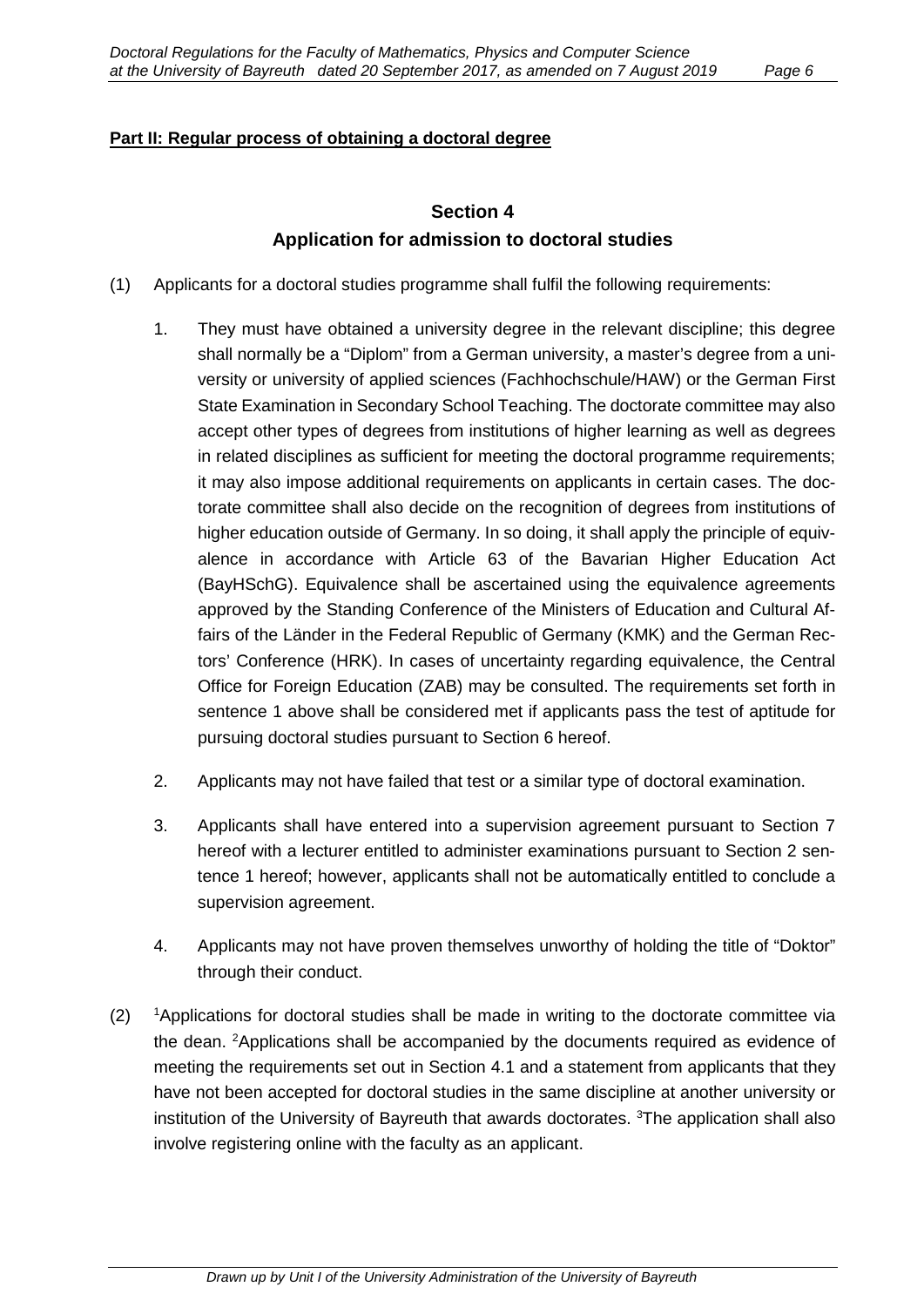#### **Part II: Regular process of obtaining a doctoral degree**

## **Section 4 Application for admission to doctoral studies**

- (1) Applicants for a doctoral studies programme shall fulfil the following requirements:
	- 1. They must have obtained a university degree in the relevant discipline; this degree shall normally be a "Diplom" from a German university, a master's degree from a university or university of applied sciences (Fachhochschule/HAW) or the German First State Examination in Secondary School Teaching. The doctorate committee may also accept other types of degrees from institutions of higher learning as well as degrees in related disciplines as sufficient for meeting the doctoral programme requirements; it may also impose additional requirements on applicants in certain cases. The doctorate committee shall also decide on the recognition of degrees from institutions of higher education outside of Germany. In so doing, it shall apply the principle of equivalence in accordance with Article 63 of the Bavarian Higher Education Act (BayHSchG). Equivalence shall be ascertained using the equivalence agreements approved by the Standing Conference of the Ministers of Education and Cultural Affairs of the Länder in the Federal Republic of Germany (KMK) and the German Rectors' Conference (HRK). In cases of uncertainty regarding equivalence, the Central Office for Foreign Education (ZAB) may be consulted. The requirements set forth in sentence 1 above shall be considered met if applicants pass the test of aptitude for pursuing doctoral studies pursuant to Section 6 hereof.
	- 2. Applicants may not have failed that test or a similar type of doctoral examination.
	- 3. Applicants shall have entered into a supervision agreement pursuant to Section 7 hereof with a lecturer entitled to administer examinations pursuant to Section 2 sentence 1 hereof; however, applicants shall not be automatically entitled to conclude a supervision agreement.
	- 4. Applicants may not have proven themselves unworthy of holding the title of "Doktor" through their conduct.
- $(2)$ <sup>1</sup>Applications for doctoral studies shall be made in writing to the doctorate committee via the dean. <sup>2</sup>Applications shall be accompanied by the documents required as evidence of meeting the requirements set out in Section 4.1 and a statement from applicants that they have not been accepted for doctoral studies in the same discipline at another university or institution of the University of Bayreuth that awards doctorates. <sup>3</sup>The application shall also involve registering online with the faculty as an applicant.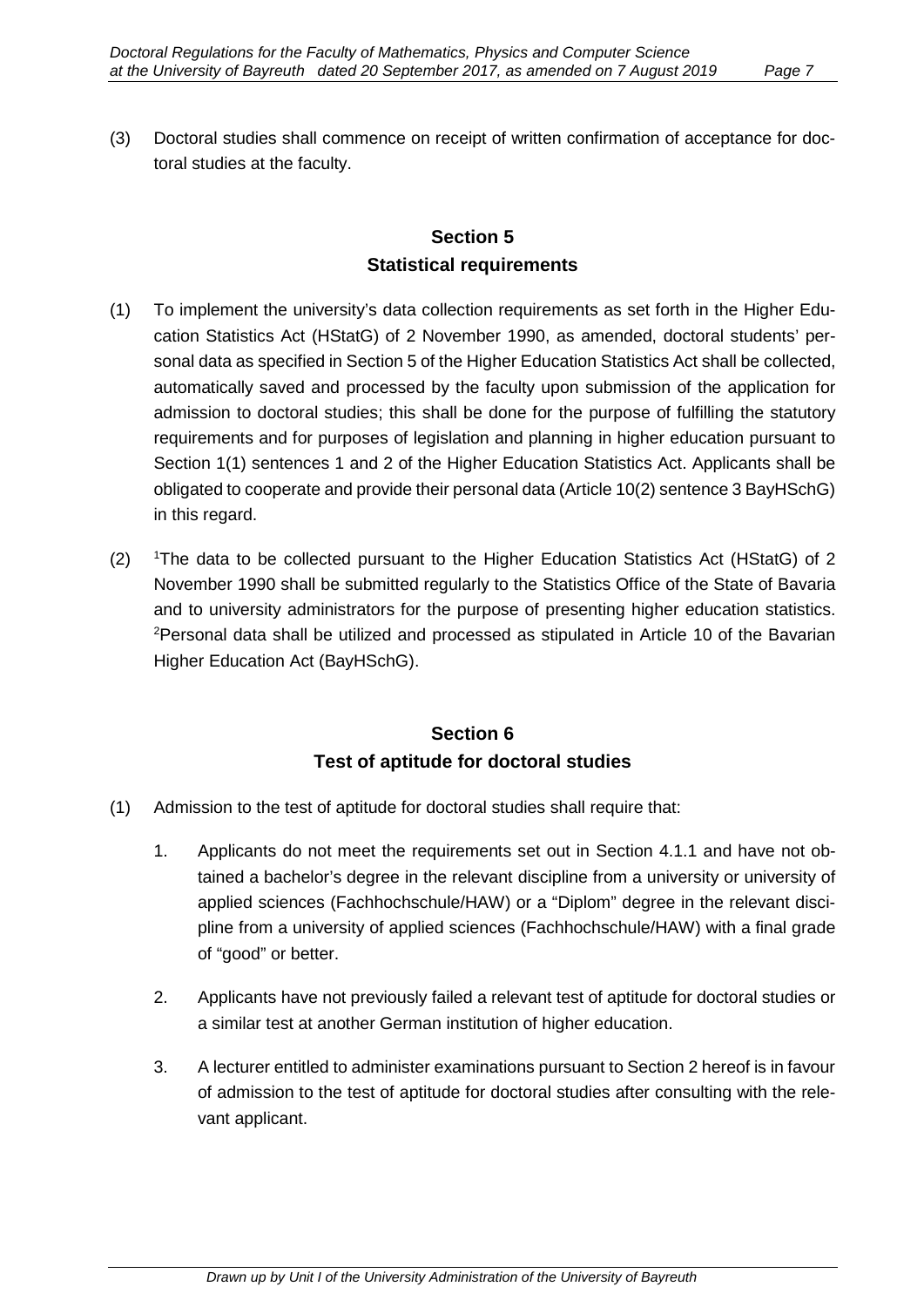(3) Doctoral studies shall commence on receipt of written confirmation of acceptance for doctoral studies at the faculty.

# **Section 5 Statistical requirements**

- (1) To implement the university's data collection requirements as set forth in the Higher Education Statistics Act (HStatG) of 2 November 1990, as amended, doctoral students' personal data as specified in Section 5 of the Higher Education Statistics Act shall be collected, automatically saved and processed by the faculty upon submission of the application for admission to doctoral studies; this shall be done for the purpose of fulfilling the statutory requirements and for purposes of legislation and planning in higher education pursuant to Section 1(1) sentences 1 and 2 of the Higher Education Statistics Act. Applicants shall be obligated to cooperate and provide their personal data (Article 10(2) sentence 3 BayHSchG) in this regard.
- $(2)$ <sup>1</sup>The data to be collected pursuant to the Higher Education Statistics Act (HStatG) of 2 November 1990 shall be submitted regularly to the Statistics Office of the State of Bavaria and to university administrators for the purpose of presenting higher education statistics. <sup>2</sup>Personal data shall be utilized and processed as stipulated in Article 10 of the Bavarian Higher Education Act (BayHSchG).

# **Section 6 Test of aptitude for doctoral studies**

- (1) Admission to the test of aptitude for doctoral studies shall require that:
	- 1. Applicants do not meet the requirements set out in Section 4.1.1 and have not obtained a bachelor's degree in the relevant discipline from a university or university of applied sciences (Fachhochschule/HAW) or a "Diplom" degree in the relevant discipline from a university of applied sciences (Fachhochschule/HAW) with a final grade of "good" or better.
	- 2. Applicants have not previously failed a relevant test of aptitude for doctoral studies or a similar test at another German institution of higher education.
	- 3. A lecturer entitled to administer examinations pursuant to Section 2 hereof is in favour of admission to the test of aptitude for doctoral studies after consulting with the relevant applicant.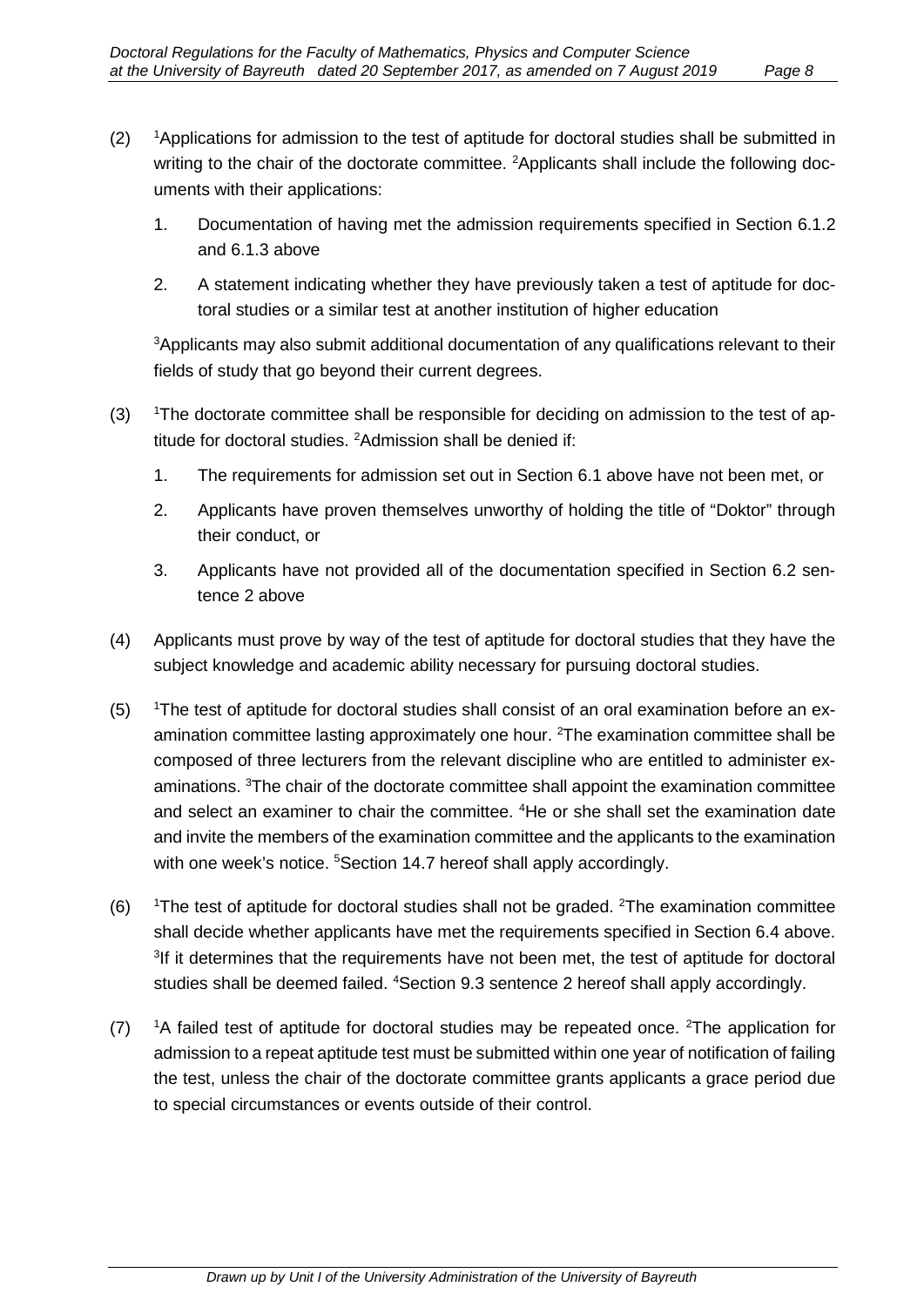- $(2)$ <sup>1</sup>Applications for admission to the test of aptitude for doctoral studies shall be submitted in writing to the chair of the doctorate committee. <sup>2</sup>Applicants shall include the following documents with their applications:
	- 1. Documentation of having met the admission requirements specified in Section 6.1.2 and 6.1.3 above
	- 2. A statement indicating whether they have previously taken a test of aptitude for doctoral studies or a similar test at another institution of higher education

3 Applicants may also submit additional documentation of any qualifications relevant to their fields of study that go beyond their current degrees.

- $(3)$ <sup>1</sup>The doctorate committee shall be responsible for deciding on admission to the test of aptitude for doctoral studies. 2 Admission shall be denied if:
	- 1. The requirements for admission set out in Section 6.1 above have not been met, or
	- 2. Applicants have proven themselves unworthy of holding the title of "Doktor" through their conduct, or
	- 3. Applicants have not provided all of the documentation specified in Section 6.2 sentence 2 above
- (4) Applicants must prove by way of the test of aptitude for doctoral studies that they have the subject knowledge and academic ability necessary for pursuing doctoral studies.
- $(5)$ <sup>1</sup>The test of aptitude for doctoral studies shall consist of an oral examination before an examination committee lasting approximately one hour. <sup>2</sup>The examination committee shall be composed of three lecturers from the relevant discipline who are entitled to administer examinations. 3 The chair of the doctorate committee shall appoint the examination committee and select an examiner to chair the committee. <sup>4</sup>He or she shall set the examination date and invite the members of the examination committee and the applicants to the examination with one week's notice. <sup>5</sup>Section 14.7 hereof shall apply accordingly.
- $(6)$ The test of aptitude for doctoral studies shall not be graded. <sup>2</sup>The examination committee shall decide whether applicants have met the requirements specified in Section 6.4 above. <sup>3</sup>If it determines that the requirements have not been met, the test of aptitude for doctoral studies shall be deemed failed. <sup>4</sup>Section 9.3 sentence 2 hereof shall apply accordingly.
- $(7)$ A failed test of aptitude for doctoral studies may be repeated once. <sup>2</sup>The application for admission to a repeat aptitude test must be submitted within one year of notification of failing the test, unless the chair of the doctorate committee grants applicants a grace period due to special circumstances or events outside of their control.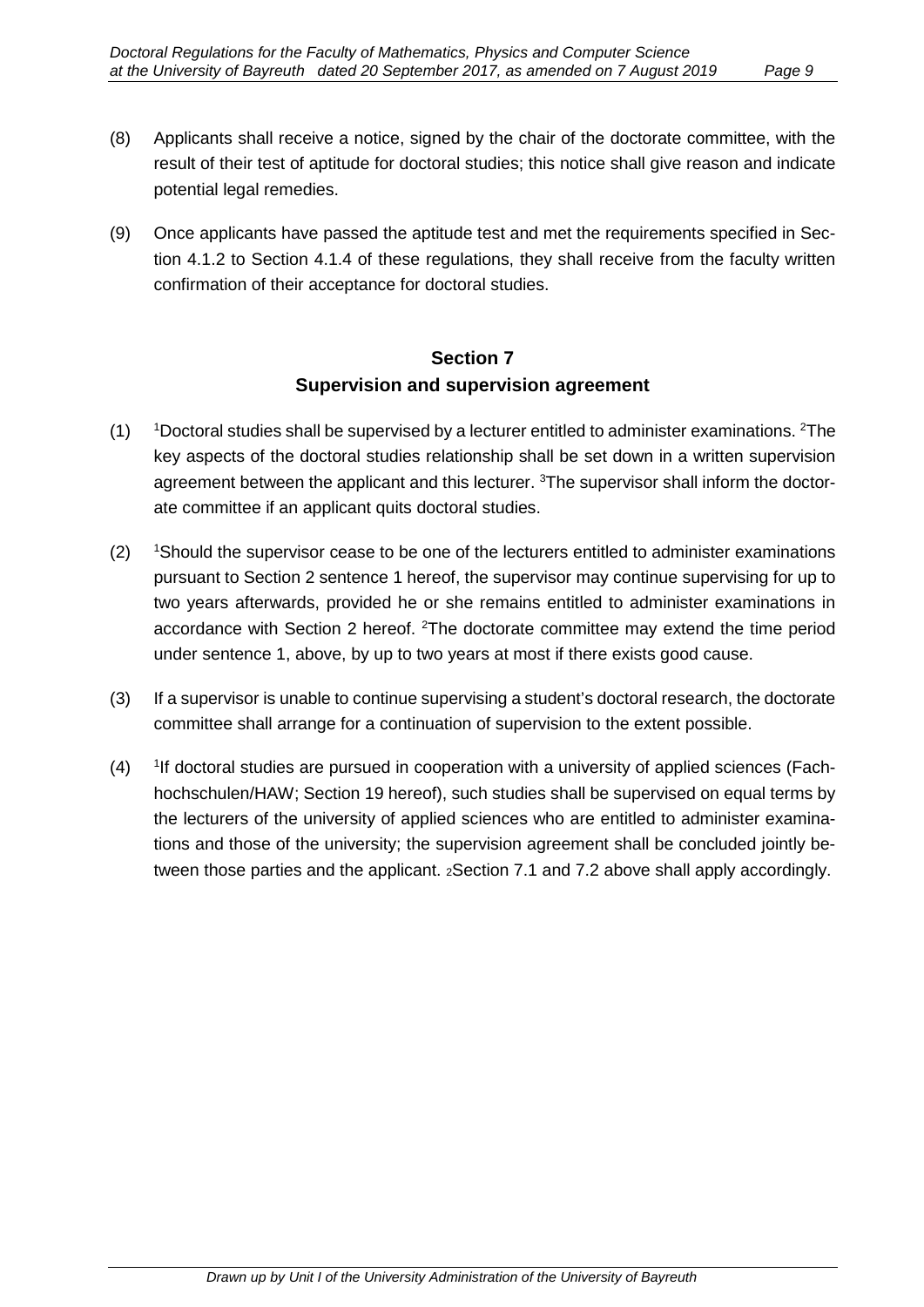- (8) Applicants shall receive a notice, signed by the chair of the doctorate committee, with the result of their test of aptitude for doctoral studies; this notice shall give reason and indicate potential legal remedies.
- (9) Once applicants have passed the aptitude test and met the requirements specified in Section 4.1.2 to Section 4.1.4 of these regulations, they shall receive from the faculty written confirmation of their acceptance for doctoral studies.

### **Section 7 Supervision and supervision agreement**

- $(1)$ Doctoral studies shall be supervised by a lecturer entitled to administer examinations. <sup>2</sup>The key aspects of the doctoral studies relationship shall be set down in a written supervision agreement between the applicant and this lecturer. <sup>3</sup>The supervisor shall inform the doctorate committee if an applicant quits doctoral studies.
- $(2)$ <sup>1</sup>Should the supervisor cease to be one of the lecturers entitled to administer examinations pursuant to Section 2 sentence 1 hereof, the supervisor may continue supervising for up to two years afterwards, provided he or she remains entitled to administer examinations in accordance with Section 2 hereof. <sup>2</sup>The doctorate committee may extend the time period under sentence 1, above, by up to two years at most if there exists good cause.
- (3) If a supervisor is unable to continue supervising a student's doctoral research, the doctorate committee shall arrange for a continuation of supervision to the extent possible.
- $(4)$ <sup>1</sup>If doctoral studies are pursued in cooperation with a university of applied sciences (Fachhochschulen/HAW; Section 19 hereof), such studies shall be supervised on equal terms by the lecturers of the university of applied sciences who are entitled to administer examinations and those of the university; the supervision agreement shall be concluded jointly between those parties and the applicant. 2Section 7.1 and 7.2 above shall apply accordingly.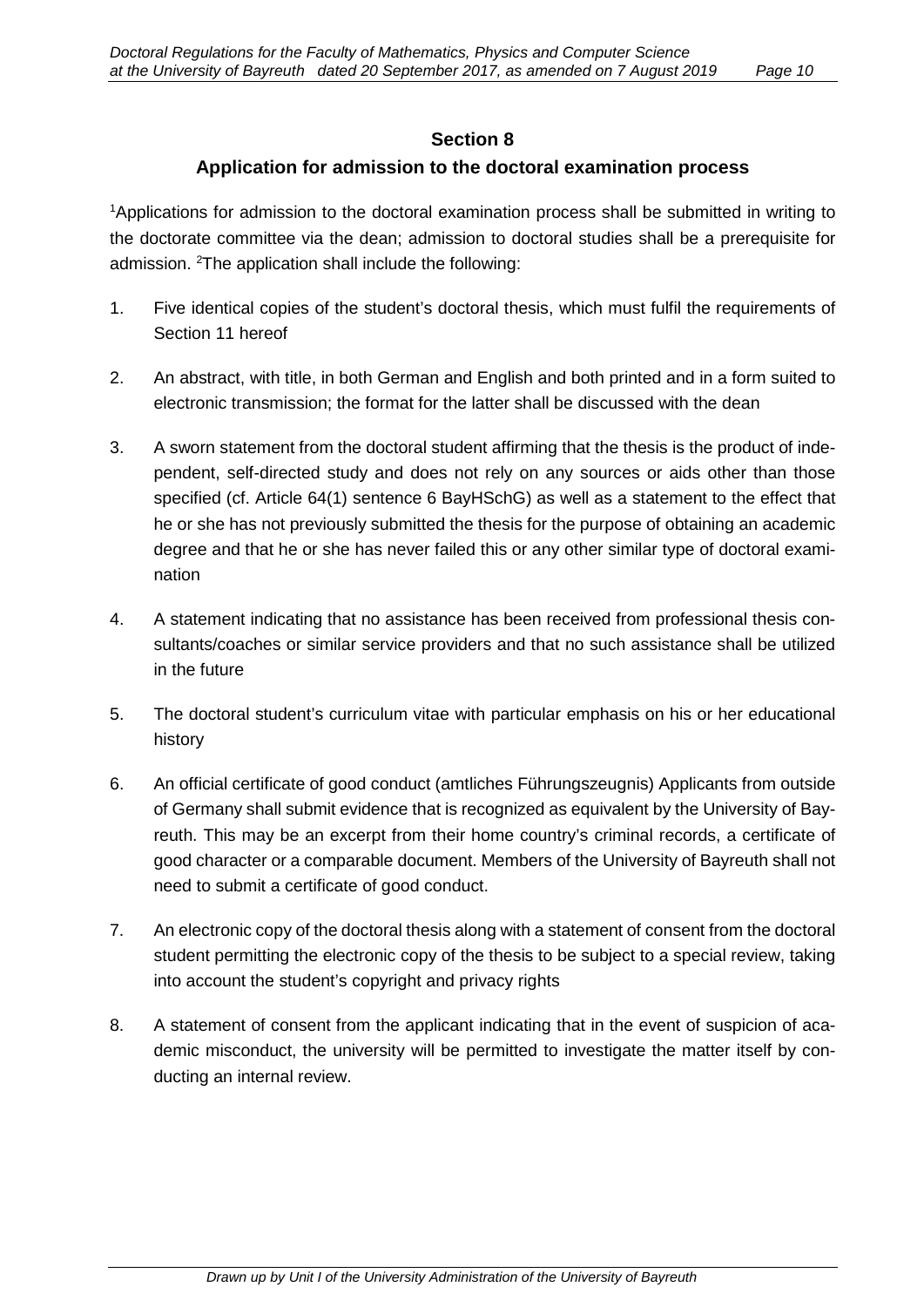#### **Section 8**

#### **Application for admission to the doctoral examination process**

<sup>1</sup>Applications for admission to the doctoral examination process shall be submitted in writing to the doctorate committee via the dean; admission to doctoral studies shall be a prerequisite for admission. 2 The application shall include the following:

- 1. Five identical copies of the student's doctoral thesis, which must fulfil the requirements of Section 11 hereof
- 2. An abstract, with title, in both German and English and both printed and in a form suited to electronic transmission; the format for the latter shall be discussed with the dean
- 3. A sworn statement from the doctoral student affirming that the thesis is the product of independent, self-directed study and does not rely on any sources or aids other than those specified (cf. Article 64(1) sentence 6 BayHSchG) as well as a statement to the effect that he or she has not previously submitted the thesis for the purpose of obtaining an academic degree and that he or she has never failed this or any other similar type of doctoral examination
- 4. A statement indicating that no assistance has been received from professional thesis consultants/coaches or similar service providers and that no such assistance shall be utilized in the future
- 5. The doctoral student's curriculum vitae with particular emphasis on his or her educational history
- 6. An official certificate of good conduct (amtliches Führungszeugnis) Applicants from outside of Germany shall submit evidence that is recognized as equivalent by the University of Bayreuth. This may be an excerpt from their home country's criminal records, a certificate of good character or a comparable document. Members of the University of Bayreuth shall not need to submit a certificate of good conduct.
- 7. An electronic copy of the doctoral thesis along with a statement of consent from the doctoral student permitting the electronic copy of the thesis to be subject to a special review, taking into account the student's copyright and privacy rights
- 8. A statement of consent from the applicant indicating that in the event of suspicion of academic misconduct, the university will be permitted to investigate the matter itself by conducting an internal review.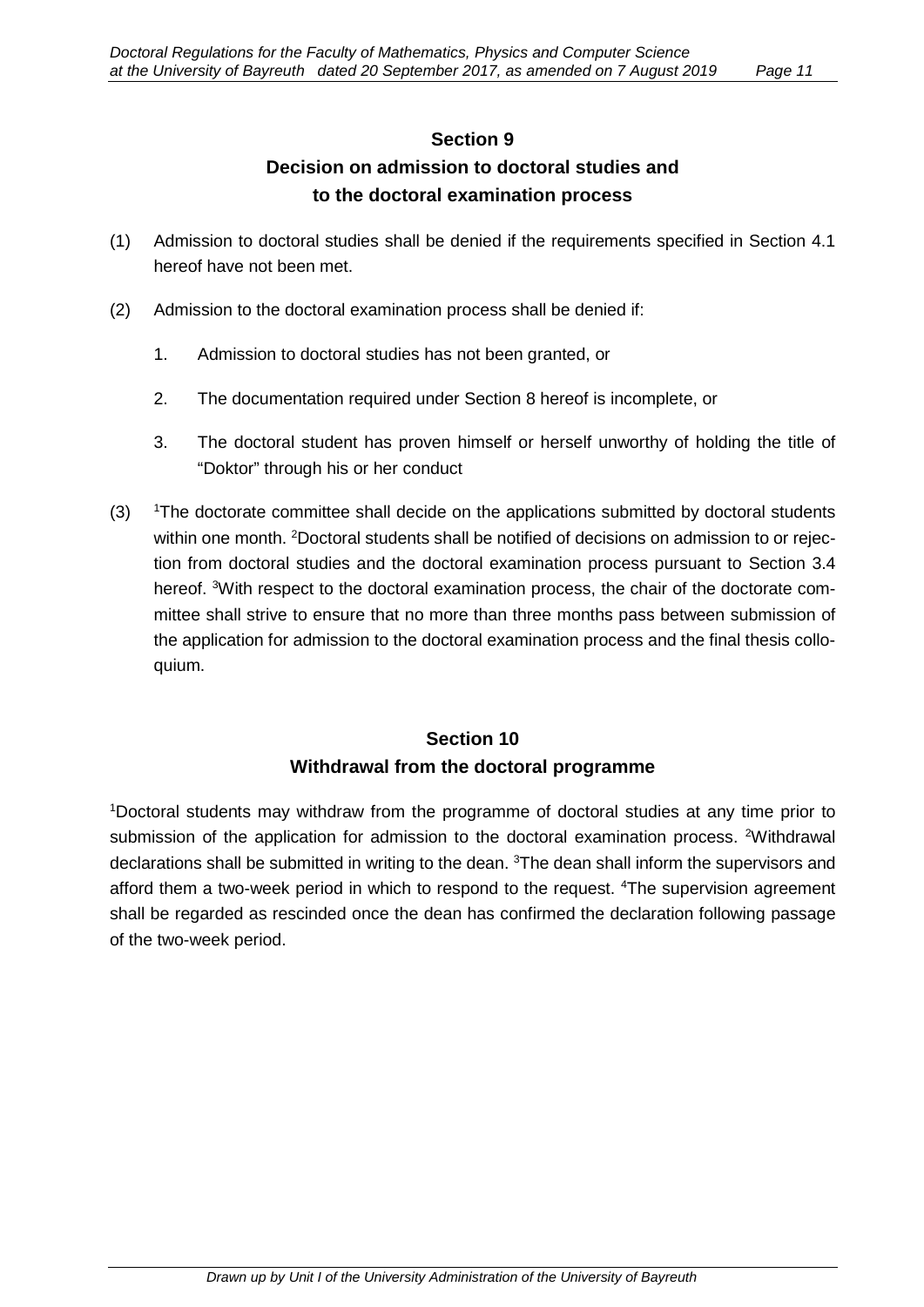# **Section 9 Decision on admission to doctoral studies and to the doctoral examination process**

- (1) Admission to doctoral studies shall be denied if the requirements specified in Section 4.1 hereof have not been met.
- (2) Admission to the doctoral examination process shall be denied if:
	- 1. Admission to doctoral studies has not been granted, or
	- 2. The documentation required under Section 8 hereof is incomplete, or
	- 3. The doctoral student has proven himself or herself unworthy of holding the title of "Doktor" through his or her conduct
- $(3)$ <sup>1</sup>The doctorate committee shall decide on the applications submitted by doctoral students within one month. <sup>2</sup>Doctoral students shall be notified of decisions on admission to or rejection from doctoral studies and the doctoral examination process pursuant to Section 3.4 hereof. <sup>3</sup>With respect to the doctoral examination process, the chair of the doctorate committee shall strive to ensure that no more than three months pass between submission of the application for admission to the doctoral examination process and the final thesis colloquium.

# **Section 10 Withdrawal from the doctoral programme**

1 Doctoral students may withdraw from the programme of doctoral studies at any time prior to submission of the application for admission to the doctoral examination process. <sup>2</sup>Withdrawal declarations shall be submitted in writing to the dean. <sup>3</sup>The dean shall inform the supervisors and afford them a two-week period in which to respond to the request. <sup>4</sup>The supervision agreement shall be regarded as rescinded once the dean has confirmed the declaration following passage of the two-week period.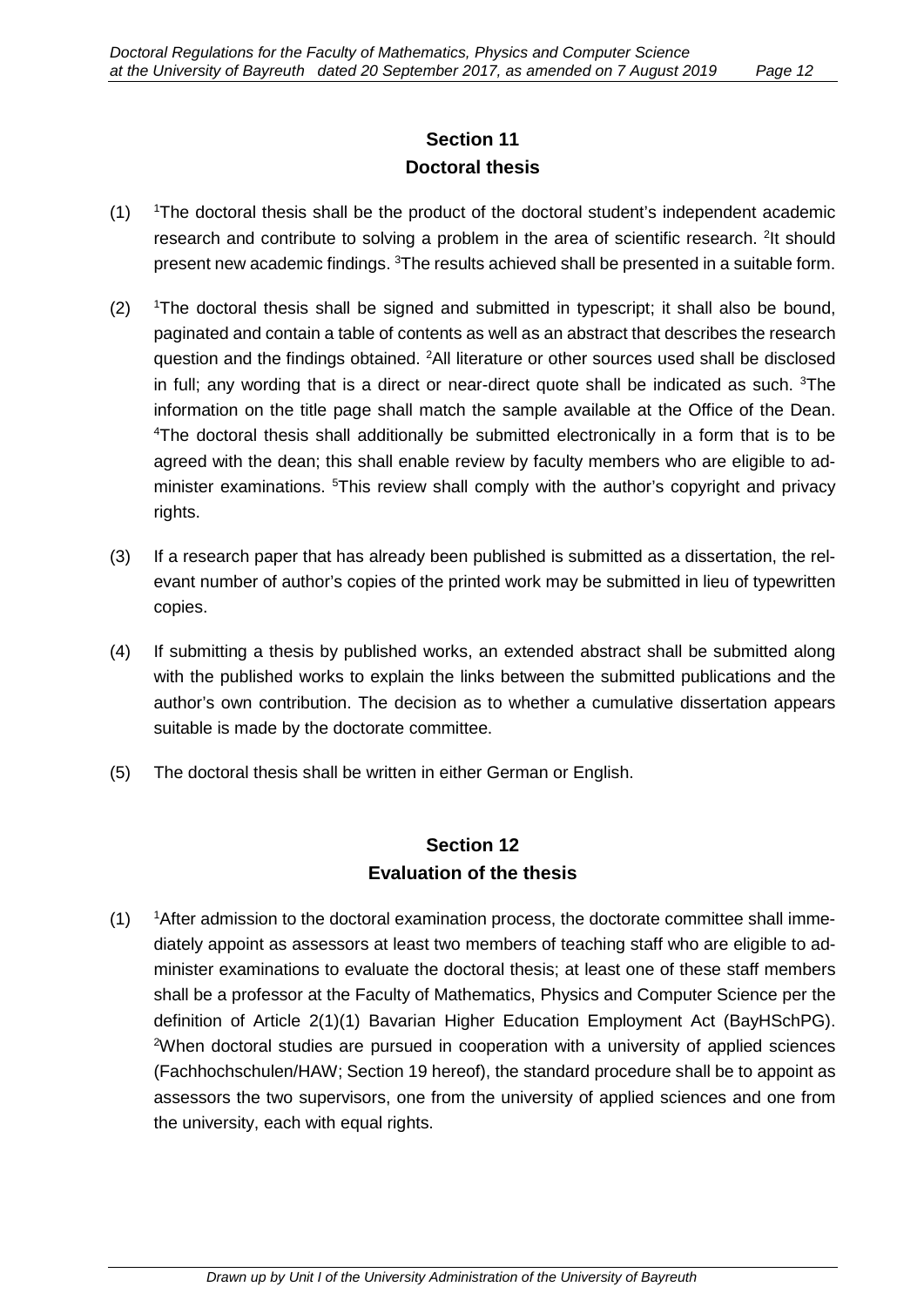# **Section 11 Doctoral thesis**

- $(1)$ The doctoral thesis shall be the product of the doctoral student's independent academic research and contribute to solving a problem in the area of scientific research. <sup>2</sup>It should present new academic findings.  $^3\!$ The results achieved shall be presented in a suitable form.
- $(2)$ The doctoral thesis shall be signed and submitted in typescript; it shall also be bound, paginated and contain a table of contents as well as an abstract that describes the research question and the findings obtained. <sup>2</sup>All literature or other sources used shall be disclosed in full; any wording that is a direct or near-direct quote shall be indicated as such. <sup>3</sup>The information on the title page shall match the sample available at the Office of the Dean. <sup>4</sup>The doctoral thesis shall additionally be submitted electronically in a form that is to be agreed with the dean; this shall enable review by faculty members who are eligible to administer examinations. <sup>5</sup>This review shall comply with the author's copyright and privacy rights.
- (3) If a research paper that has already been published is submitted as a dissertation, the relevant number of author's copies of the printed work may be submitted in lieu of typewritten copies.
- (4) If submitting a thesis by published works, an extended abstract shall be submitted along with the published works to explain the links between the submitted publications and the author's own contribution. The decision as to whether a cumulative dissertation appears suitable is made by the doctorate committee.
- (5) The doctoral thesis shall be written in either German or English.

### **Section 12 Evaluation of the thesis**

 $(1)$ <sup>1</sup> After admission to the doctoral examination process, the doctorate committee shall immediately appoint as assessors at least two members of teaching staff who are eligible to administer examinations to evaluate the doctoral thesis; at least one of these staff members shall be a professor at the Faculty of Mathematics, Physics and Computer Science per the definition of Article 2(1)(1) Bavarian Higher Education Employment Act (BayHSchPG). <sup>2</sup>When doctoral studies are pursued in cooperation with a university of applied sciences (Fachhochschulen/HAW; Section 19 hereof), the standard procedure shall be to appoint as assessors the two supervisors, one from the university of applied sciences and one from the university, each with equal rights.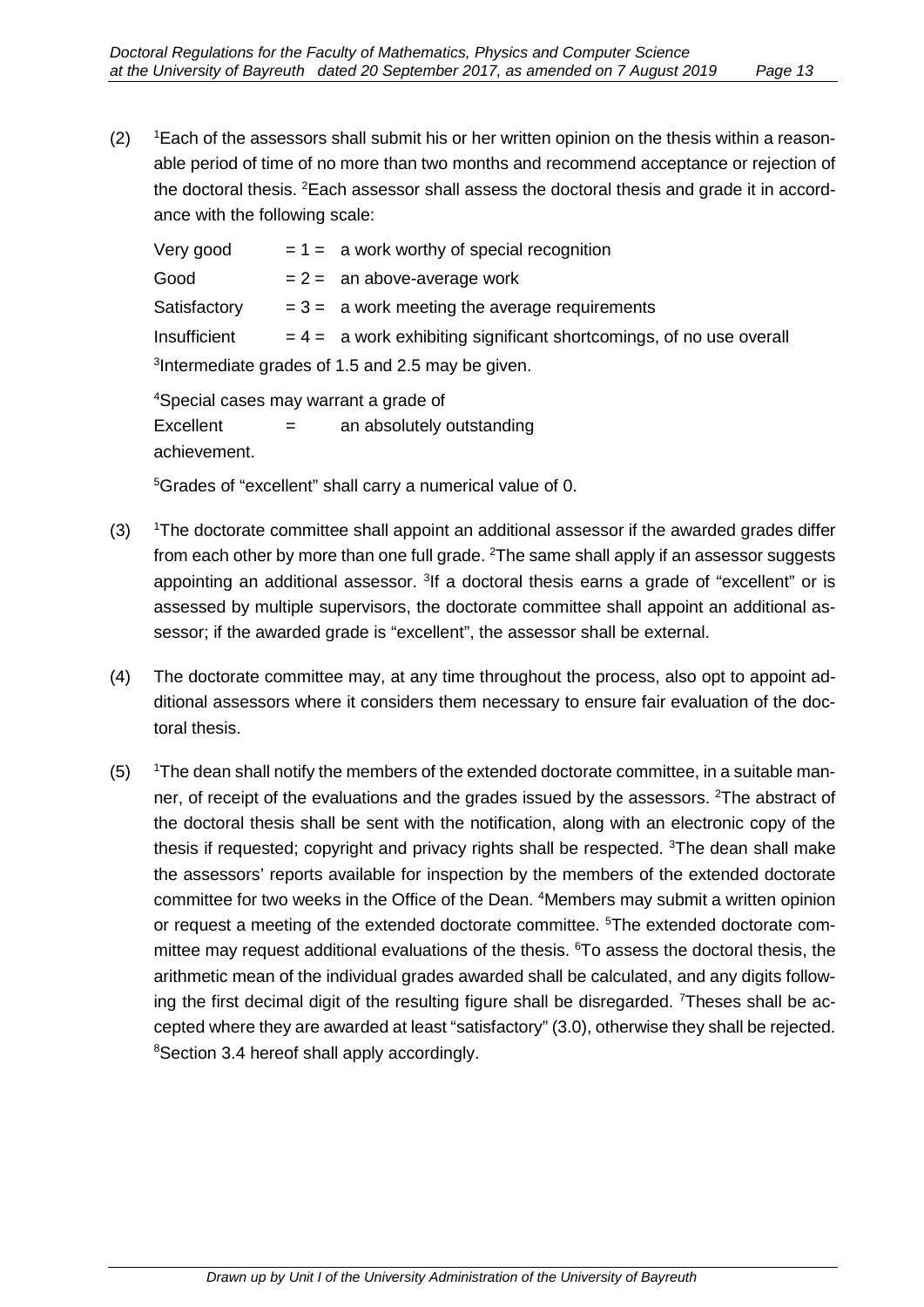$(2)$ <sup>1</sup> Each of the assessors shall submit his or her written opinion on the thesis within a reasonable period of time of no more than two months and recommend acceptance or rejection of the doctoral thesis. <sup>2</sup>Each assessor shall assess the doctoral thesis and grade it in accordance with the following scale:

| Very good                                                     |  | $= 1 =$ a work worthy of special recognition                          |
|---------------------------------------------------------------|--|-----------------------------------------------------------------------|
| Good                                                          |  | $= 2 =$ an above-average work                                         |
| Satisfactory                                                  |  | $= 3 =$ a work meeting the average requirements                       |
| Insufficient                                                  |  | $= 4 =$ a work exhibiting significant shortcomings, of no use overall |
| <sup>3</sup> Intermediate grades of 1.5 and 2.5 may be given. |  |                                                                       |

4 Special cases may warrant a grade of Excellent  $=$  an absolutely outstanding achievement.

5 Grades of "excellent" shall carry a numerical value of 0.

- $(3)$ The doctorate committee shall appoint an additional assessor if the awarded grades differ from each other by more than one full grade.  $^{2}\!$ The same shall apply if an assessor suggests appointing an additional assessor. <sup>3</sup>If a doctoral thesis earns a grade of "excellent" or is assessed by multiple supervisors, the doctorate committee shall appoint an additional assessor; if the awarded grade is "excellent", the assessor shall be external.
- (4) The doctorate committee may, at any time throughout the process, also opt to appoint additional assessors where it considers them necessary to ensure fair evaluation of the doctoral thesis.
- $(5)$ <sup>1</sup>The dean shall notify the members of the extended doctorate committee, in a suitable manner, of receipt of the evaluations and the grades issued by the assessors. <sup>2</sup>The abstract of the doctoral thesis shall be sent with the notification, along with an electronic copy of the thesis if requested; copyright and privacy rights shall be respected. <sup>3</sup>The dean shall make the assessors' reports available for inspection by the members of the extended doctorate committee for two weeks in the Office of the Dean. 4 Members may submit a written opinion or request a meeting of the extended doctorate committee. <sup>5</sup>The extended doctorate committee may request additional evaluations of the thesis. <sup>6</sup>To assess the doctoral thesis, the arithmetic mean of the individual grades awarded shall be calculated, and any digits following the first decimal digit of the resulting figure shall be disregarded. <sup>7</sup>Theses shall be accepted where they are awarded at least "satisfactory" (3.0), otherwise they shall be rejected. 8 Section 3.4 hereof shall apply accordingly.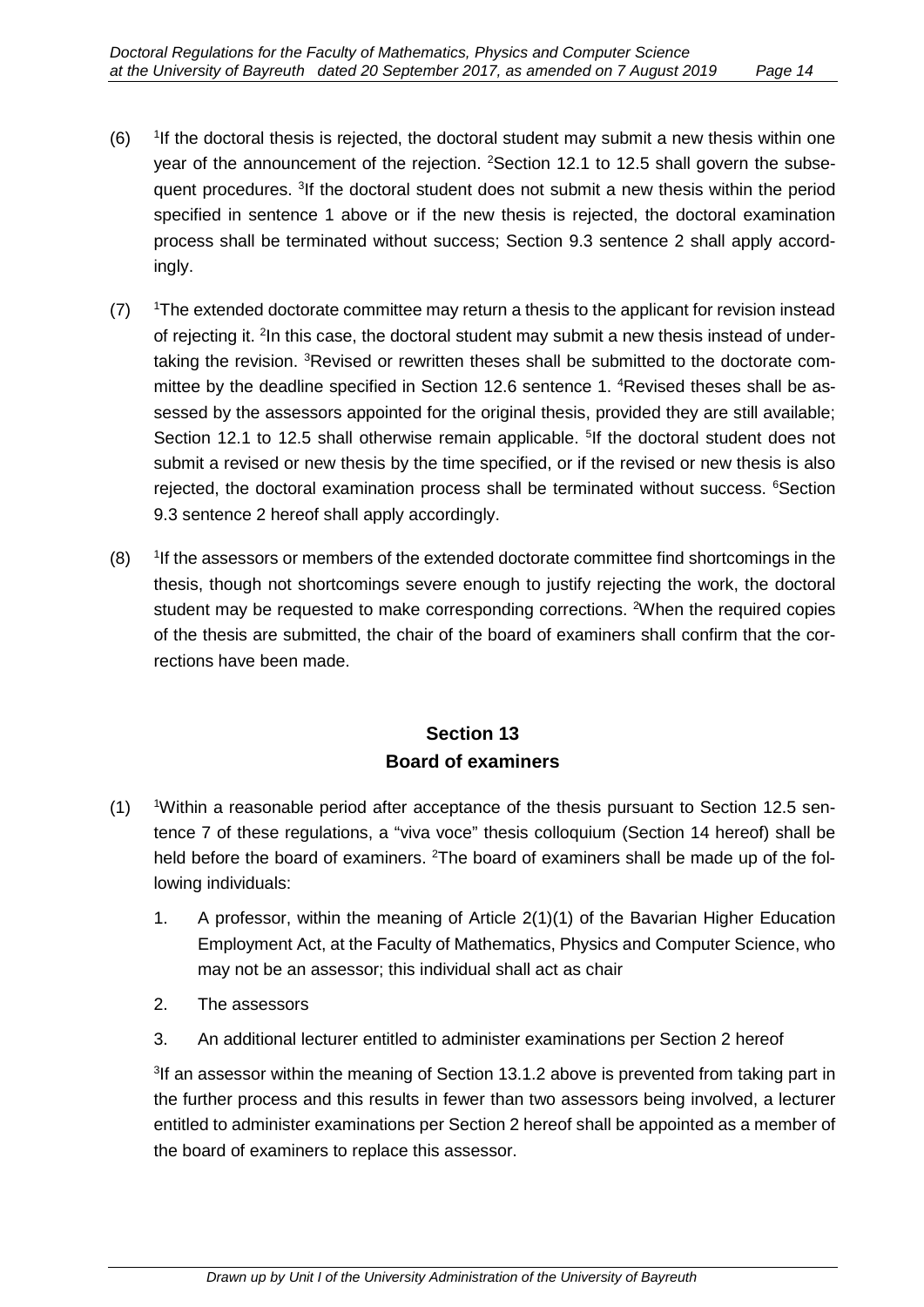- $(6)$ <sup>1</sup>If the doctoral thesis is rejected, the doctoral student may submit a new thesis within one year of the announcement of the rejection. <sup>2</sup>Section 12.1 to 12.5 shall govern the subsequent procedures. <sup>3</sup>If the doctoral student does not submit a new thesis within the period specified in sentence 1 above or if the new thesis is rejected, the doctoral examination process shall be terminated without success; Section 9.3 sentence 2 shall apply accordingly.
- $(7)$ <sup>1</sup>The extended doctorate committee may return a thesis to the applicant for revision instead of rejecting it. <sup>2</sup>In this case, the doctoral student may submit a new thesis instead of undertaking the revision. <sup>3</sup>Revised or rewritten theses shall be submitted to the doctorate committee by the deadline specified in Section 12.6 sentence 1. 4 Revised theses shall be assessed by the assessors appointed for the original thesis, provided they are still available; Section 12.1 to 12.5 shall otherwise remain applicable. <sup>5</sup>If the doctoral student does not submit a revised or new thesis by the time specified, or if the revised or new thesis is also rejected, the doctoral examination process shall be terminated without success. <sup>6</sup>Section 9.3 sentence 2 hereof shall apply accordingly.
- $(8)$ <sup>1</sup>If the assessors or members of the extended doctorate committee find shortcomings in the thesis, though not shortcomings severe enough to justify rejecting the work, the doctoral student may be requested to make corresponding corrections. <sup>2</sup>When the required copies of the thesis are submitted, the chair of the board of examiners shall confirm that the corrections have been made.

# **Section 13 Board of examiners**

- $(1)$ Within a reasonable period after acceptance of the thesis pursuant to Section 12.5 sentence 7 of these regulations, a "viva voce" thesis colloquium (Section 14 hereof) shall be held before the board of examiners. <sup>2</sup>The board of examiners shall be made up of the following individuals:
	- 1. A professor, within the meaning of Article 2(1)(1) of the Bavarian Higher Education Employment Act, at the Faculty of Mathematics, Physics and Computer Science, who may not be an assessor; this individual shall act as chair
	- 2. The assessors
	- 3. An additional lecturer entitled to administer examinations per Section 2 hereof

<sup>3</sup>If an assessor within the meaning of Section 13.1.2 above is prevented from taking part in the further process and this results in fewer than two assessors being involved, a lecturer entitled to administer examinations per Section 2 hereof shall be appointed as a member of the board of examiners to replace this assessor.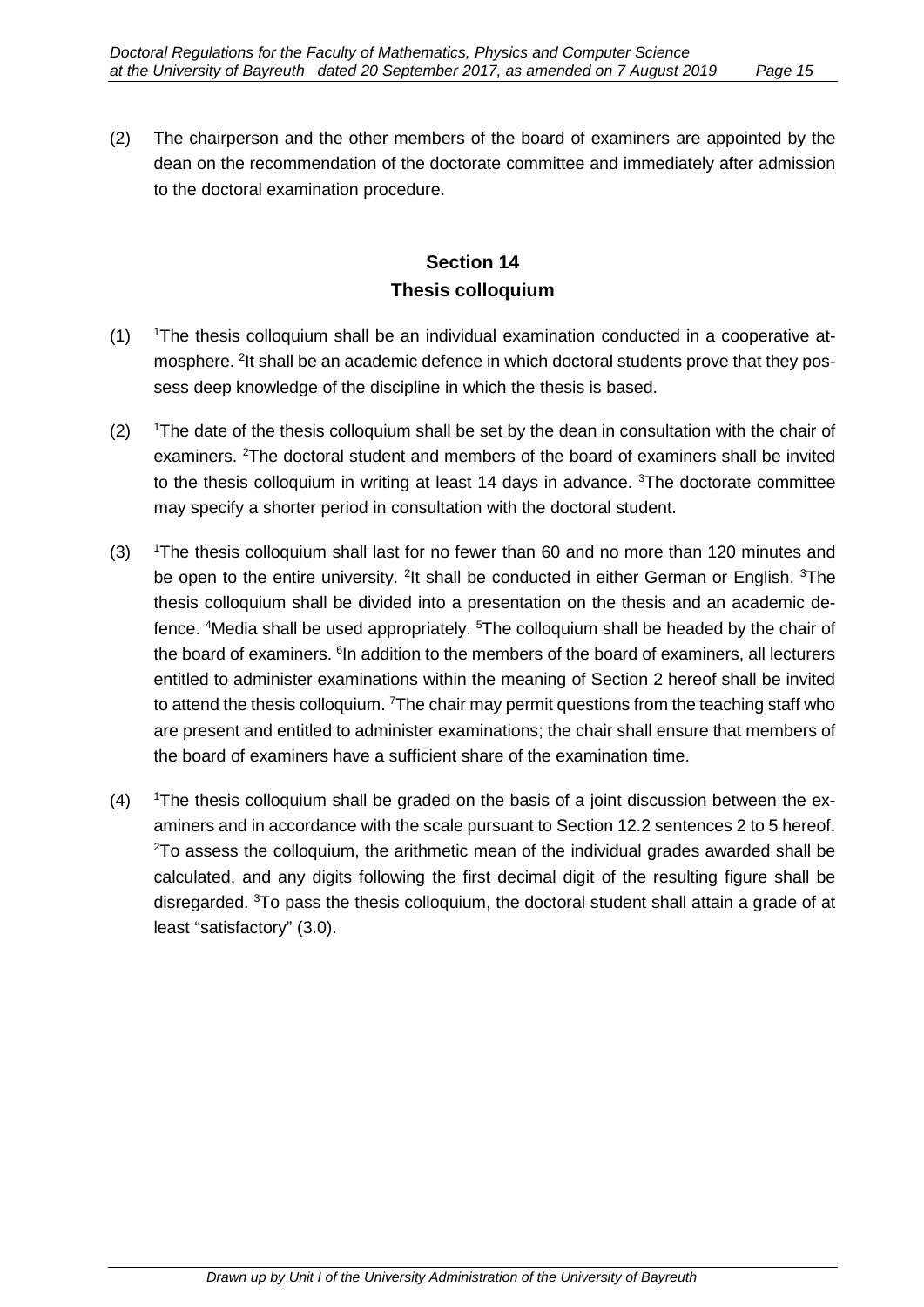(2) The chairperson and the other members of the board of examiners are appointed by the dean on the recommendation of the doctorate committee and immediately after admission to the doctoral examination procedure.

### **Section 14 Thesis colloquium**

- $(1)$ The thesis colloquium shall be an individual examination conducted in a cooperative atmosphere. <sup>2</sup>It shall be an academic defence in which doctoral students prove that they possess deep knowledge of the discipline in which the thesis is based.
- $(2)$ <sup>1</sup>The date of the thesis colloquium shall be set by the dean in consultation with the chair of examiners. <sup>2</sup>The doctoral student and members of the board of examiners shall be invited to the thesis colloquium in writing at least 14 days in advance. <sup>3</sup>The doctorate committee may specify a shorter period in consultation with the doctoral student.
- $(3)$ <sup>1</sup>The thesis colloquium shall last for no fewer than 60 and no more than 120 minutes and be open to the entire university. <sup>2</sup>It shall be conducted in either German or English. <sup>3</sup>The thesis colloquium shall be divided into a presentation on the thesis and an academic defence. 4 Media shall be used appropriately. 5 The colloquium shall be headed by the chair of the board of examiners.  $\mathfrak{h}$ n addition to the members of the board of examiners, all lecturers entitled to administer examinations within the meaning of Section 2 hereof shall be invited to attend the thesis colloquium. <sup>7</sup>The chair may permit questions from the teaching staff who are present and entitled to administer examinations; the chair shall ensure that members of the board of examiners have a sufficient share of the examination time.
- $(4)$ <sup>1</sup>The thesis colloquium shall be graded on the basis of a joint discussion between the examiners and in accordance with the scale pursuant to Section 12.2 sentences 2 to 5 hereof.  $^{2}$ To assess the colloquium, the arithmetic mean of the individual grades awarded shall be calculated, and any digits following the first decimal digit of the resulting figure shall be disregarded. <sup>3</sup>To pass the thesis colloquium, the doctoral student shall attain a grade of at least "satisfactory" (3.0).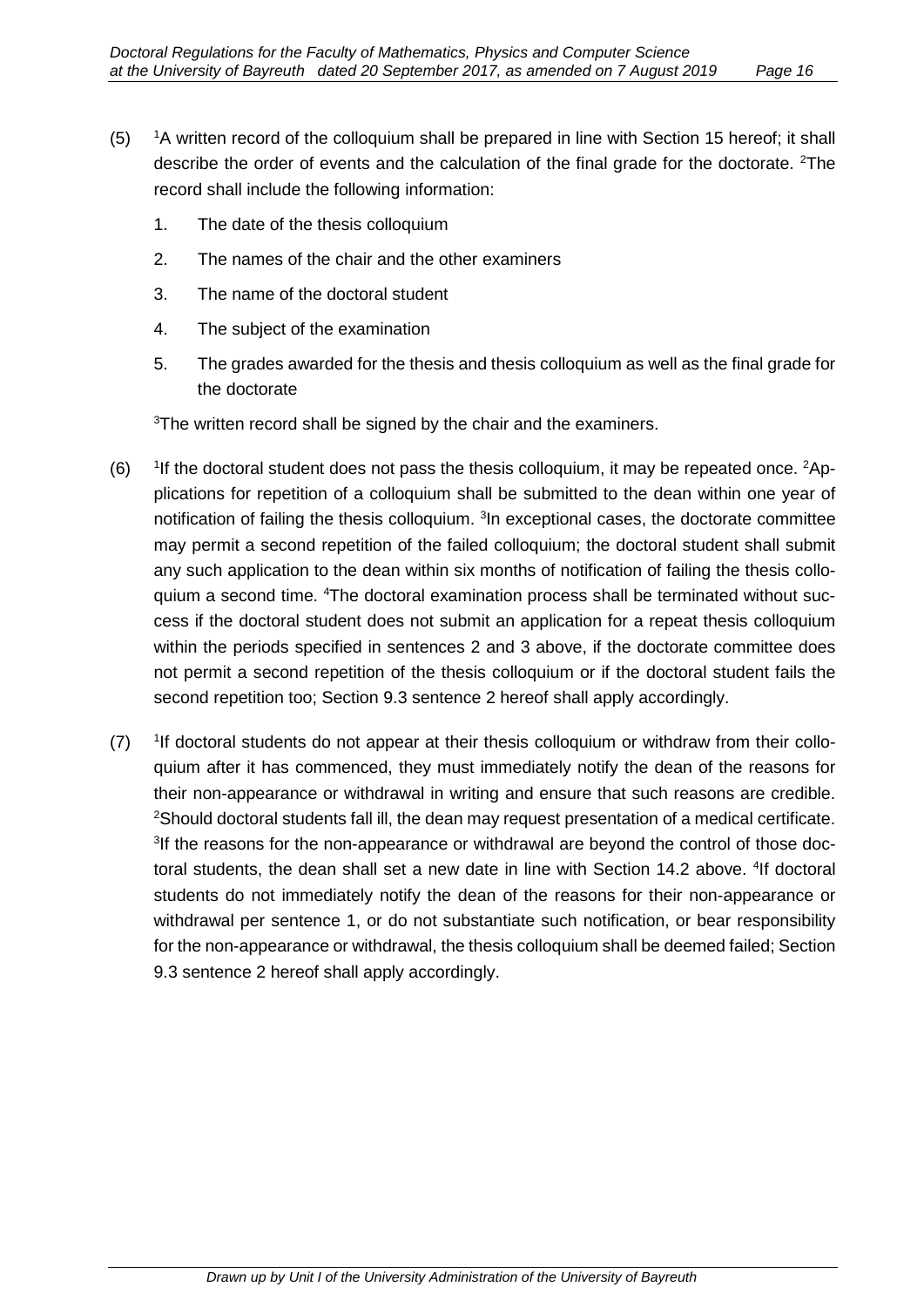- $(5)$ <sup>1</sup>A written record of the colloquium shall be prepared in line with Section 15 hereof; it shall describe the order of events and the calculation of the final grade for the doctorate. <sup>2</sup>The record shall include the following information:
	- 1. The date of the thesis colloquium
	- 2. The names of the chair and the other examiners
	- 3. The name of the doctoral student
	- 4. The subject of the examination
	- 5. The grades awarded for the thesis and thesis colloquium as well as the final grade for the doctorate

 ${}^{3}\mathrm{The}$  written record shall be signed by the chair and the examiners.

- $(6)$ If the doctoral student does not pass the thesis colloquium, it may be repeated once. <sup>2</sup>Applications for repetition of a colloquium shall be submitted to the dean within one year of notification of failing the thesis colloquium. <sup>3</sup>In exceptional cases, the doctorate committee may permit a second repetition of the failed colloquium; the doctoral student shall submit any such application to the dean within six months of notification of failing the thesis colloquium a second time. 4 The doctoral examination process shall be terminated without success if the doctoral student does not submit an application for a repeat thesis colloquium within the periods specified in sentences 2 and 3 above, if the doctorate committee does not permit a second repetition of the thesis colloquium or if the doctoral student fails the second repetition too; Section 9.3 sentence 2 hereof shall apply accordingly.
- $(7)$ <sup>1</sup>If doctoral students do not appear at their thesis colloquium or withdraw from their colloquium after it has commenced, they must immediately notify the dean of the reasons for their non-appearance or withdrawal in writing and ensure that such reasons are credible.  $^{2}$ Should doctoral students fall ill, the dean may request presentation of a medical certificate. <sup>3</sup>If the reasons for the non-appearance or withdrawal are beyond the control of those doctoral students, the dean shall set a new date in line with Section 14.2 above. <sup>4</sup>If doctoral students do not immediately notify the dean of the reasons for their non-appearance or withdrawal per sentence 1, or do not substantiate such notification, or bear responsibility for the non-appearance or withdrawal, the thesis colloquium shall be deemed failed; Section 9.3 sentence 2 hereof shall apply accordingly.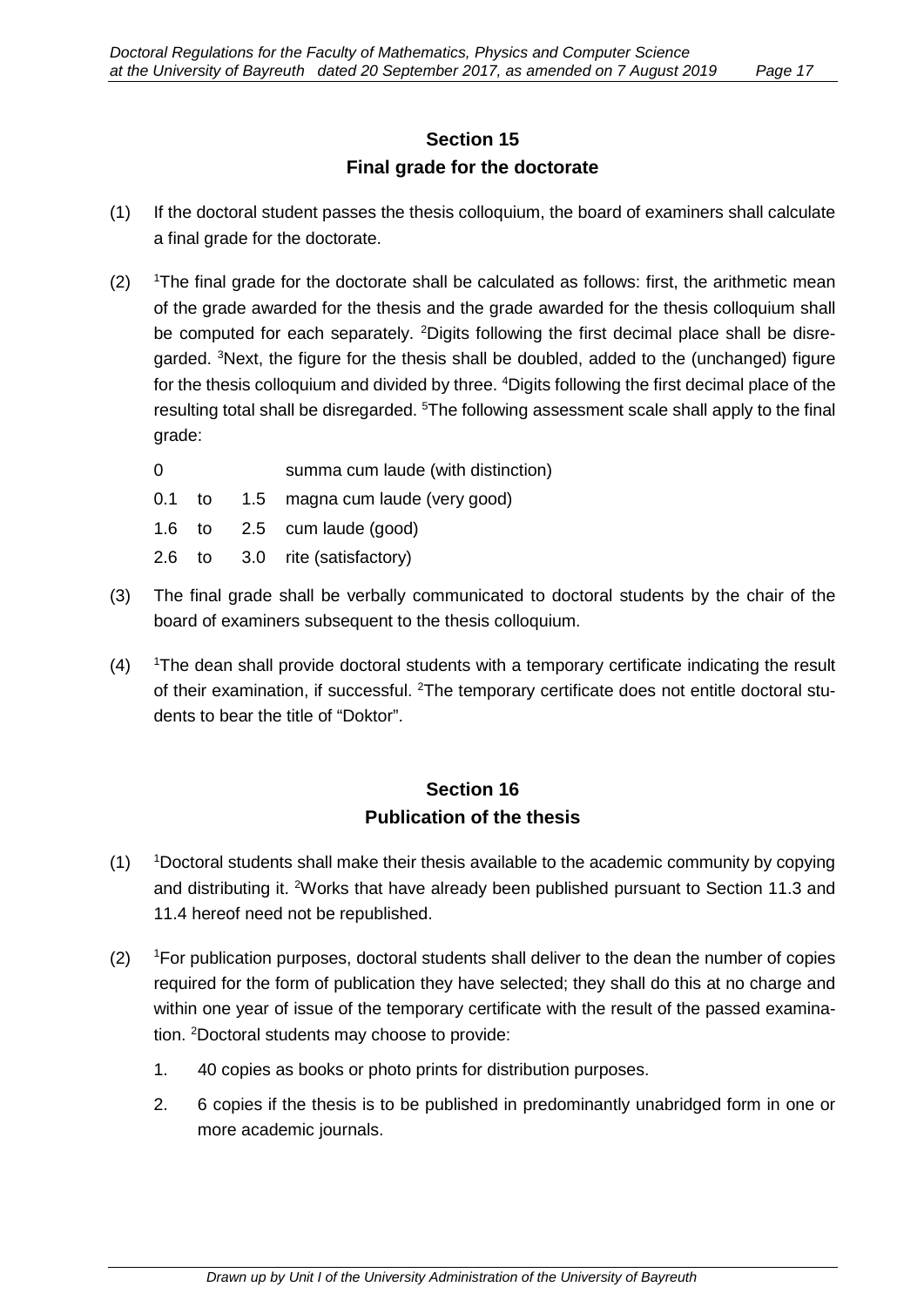# **Section 15 Final grade for the doctorate**

- (1) If the doctoral student passes the thesis colloquium, the board of examiners shall calculate a final grade for the doctorate.
- $(2)$ <sup>1</sup>The final grade for the doctorate shall be calculated as follows: first, the arithmetic mean of the grade awarded for the thesis and the grade awarded for the thesis colloquium shall be computed for each separately. <sup>2</sup>Digits following the first decimal place shall be disregarded. <sup>3</sup>Next, the figure for the thesis shall be doubled, added to the (unchanged) figure for the thesis colloquium and divided by three.  $^4$ Digits following the first decimal place of the resulting total shall be disregarded. <sup>5</sup>The following assessment scale shall apply to the final grade:

| summa cum laude (with distinction)     |
|----------------------------------------|
| 0.1 to 1.5 magna cum laude (very good) |
| 1.6 to $2.5$ cum laude (good)          |
| 2.6 to 3.0 rite (satisfactory)         |
|                                        |

- (3) The final grade shall be verbally communicated to doctoral students by the chair of the board of examiners subsequent to the thesis colloquium.
- $(4)$ The dean shall provide doctoral students with a temporary certificate indicating the result of their examination, if successful. <sup>2</sup>The temporary certificate does not entitle doctoral students to bear the title of "Doktor".

### **Section 16 Publication of the thesis**

- $(1)$ Doctoral students shall make their thesis available to the academic community by copying and distributing it. <sup>2</sup>Works that have already been published pursuant to Section 11.3 and 11.4 hereof need not be republished.
- $(2)$ <sup>1</sup>For publication purposes, doctoral students shall deliver to the dean the number of copies required for the form of publication they have selected; they shall do this at no charge and within one year of issue of the temporary certificate with the result of the passed examination. <sup>2</sup>Doctoral students may choose to provide:
	- 1. 40 copies as books or photo prints for distribution purposes.
	- 2. 6 copies if the thesis is to be published in predominantly unabridged form in one or more academic journals.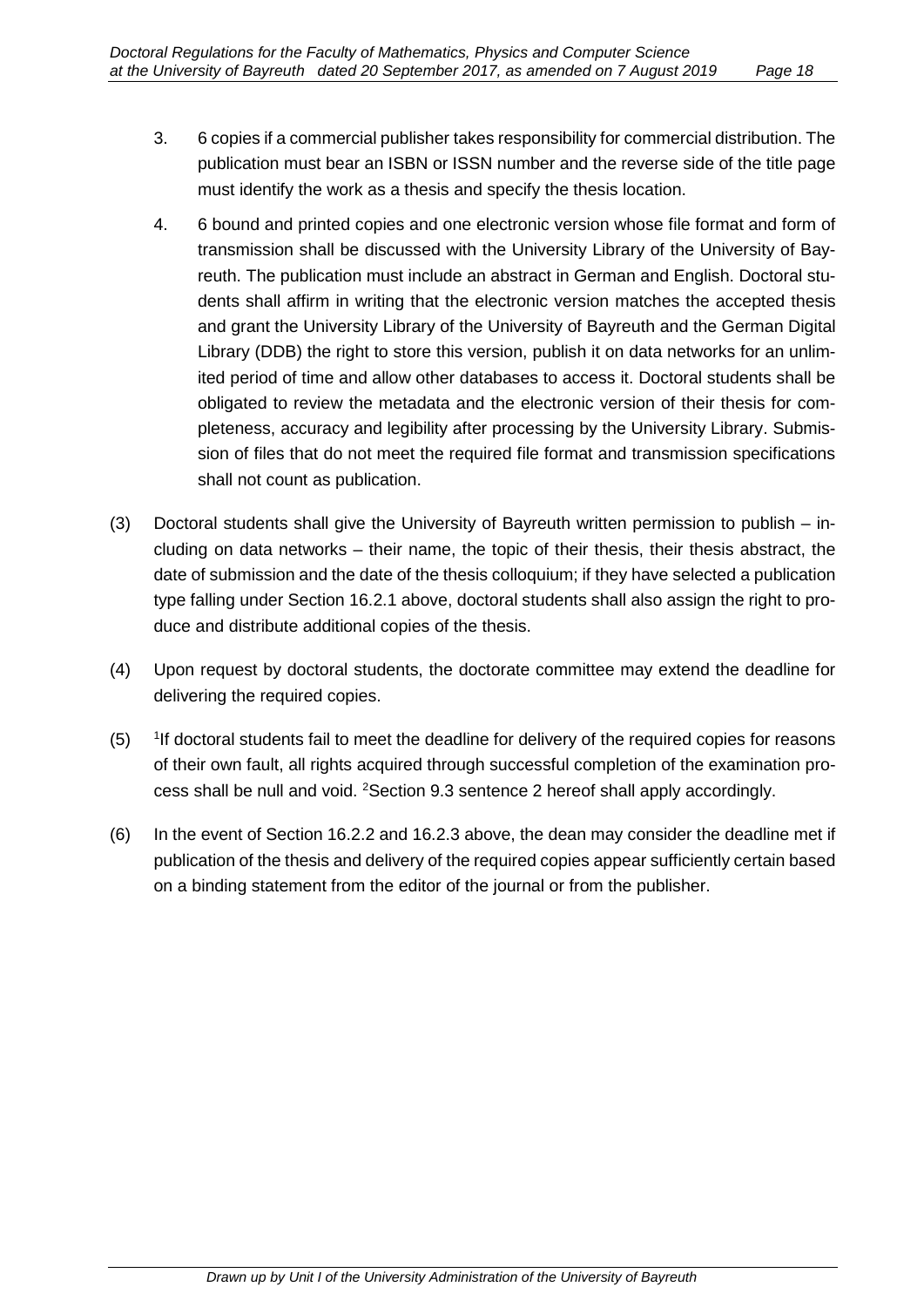- 3. 6 copies if a commercial publisher takes responsibility for commercial distribution. The publication must bear an ISBN or ISSN number and the reverse side of the title page must identify the work as a thesis and specify the thesis location.
- 4. 6 bound and printed copies and one electronic version whose file format and form of transmission shall be discussed with the University Library of the University of Bayreuth. The publication must include an abstract in German and English. Doctoral students shall affirm in writing that the electronic version matches the accepted thesis and grant the University Library of the University of Bayreuth and the German Digital Library (DDB) the right to store this version, publish it on data networks for an unlimited period of time and allow other databases to access it. Doctoral students shall be obligated to review the metadata and the electronic version of their thesis for completeness, accuracy and legibility after processing by the University Library. Submission of files that do not meet the required file format and transmission specifications shall not count as publication.
- (3) Doctoral students shall give the University of Bayreuth written permission to publish including on data networks – their name, the topic of their thesis, their thesis abstract, the date of submission and the date of the thesis colloquium; if they have selected a publication type falling under Section 16.2.1 above, doctoral students shall also assign the right to produce and distribute additional copies of the thesis.
- (4) Upon request by doctoral students, the doctorate committee may extend the deadline for delivering the required copies.
- $(5)$ <sup>1</sup> If doctoral students fail to meet the deadline for delivery of the required copies for reasons of their own fault, all rights acquired through successful completion of the examination process shall be null and void. <sup>2</sup>Section 9.3 sentence 2 hereof shall apply accordingly.
- (6) In the event of Section 16.2.2 and 16.2.3 above, the dean may consider the deadline met if publication of the thesis and delivery of the required copies appear sufficiently certain based on a binding statement from the editor of the journal or from the publisher.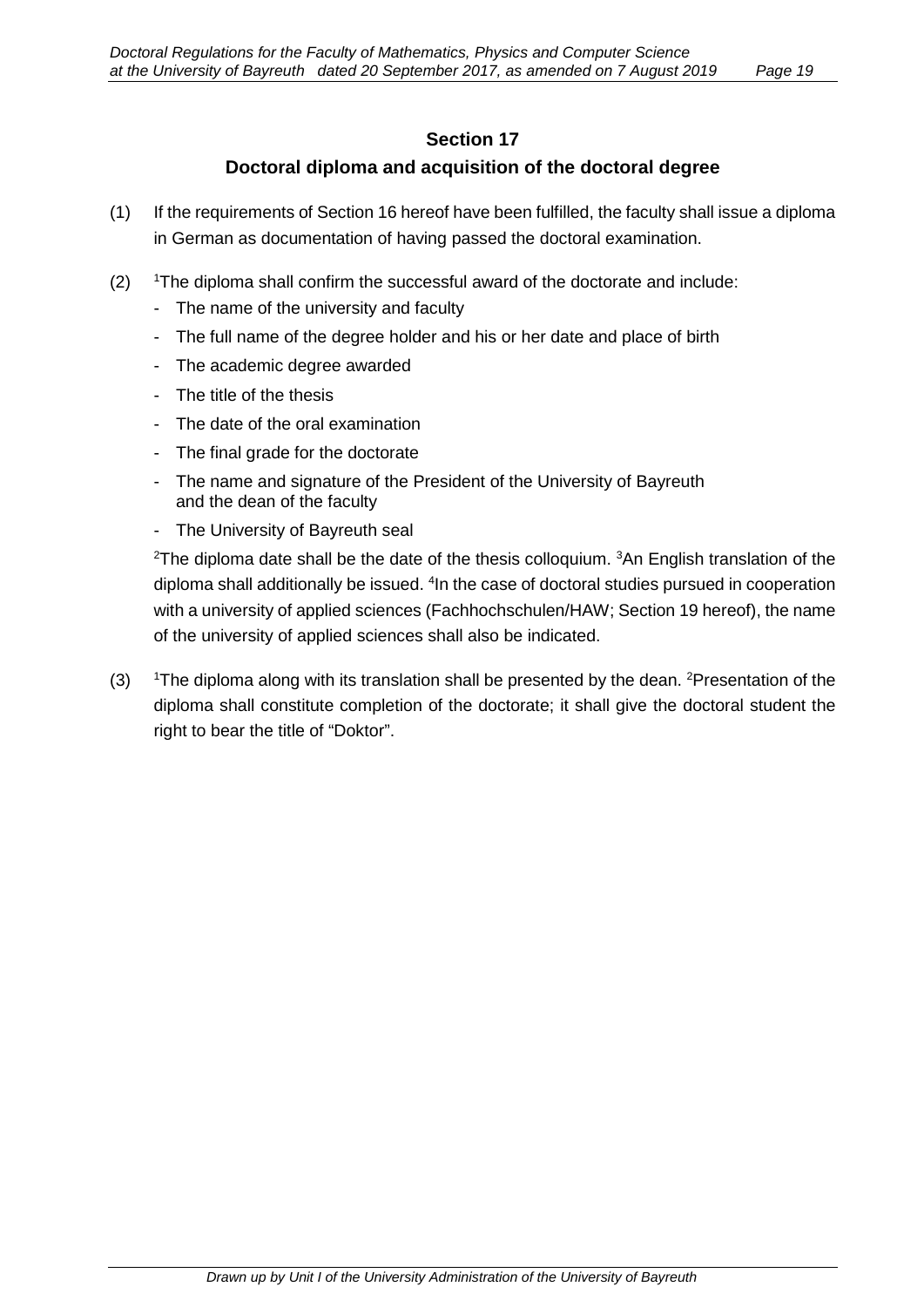#### **Section 17**

#### **Doctoral diploma and acquisition of the doctoral degree**

- (1) If the requirements of Section 16 hereof have been fulfilled, the faculty shall issue a diploma in German as documentation of having passed the doctoral examination.
- $(2)$ The diploma shall confirm the successful award of the doctorate and include:
	- The name of the university and faculty
	- The full name of the degree holder and his or her date and place of birth
	- The academic degree awarded
	- The title of the thesis
	- The date of the oral examination
	- The final grade for the doctorate
	- The name and signature of the President of the University of Bayreuth and the dean of the faculty
	- The University of Bayreuth seal

 $^{\rm 2}$ The diploma date shall be the date of the thesis colloquium.  $^{\rm 3}$ An English translation of the diploma shall additionally be issued. <sup>4</sup>In the case of doctoral studies pursued in cooperation with a university of applied sciences (Fachhochschulen/HAW; Section 19 hereof), the name of the university of applied sciences shall also be indicated.

 $(3)$ The diploma along with its translation shall be presented by the dean. <sup>2</sup>Presentation of the diploma shall constitute completion of the doctorate; it shall give the doctoral student the right to bear the title of "Doktor".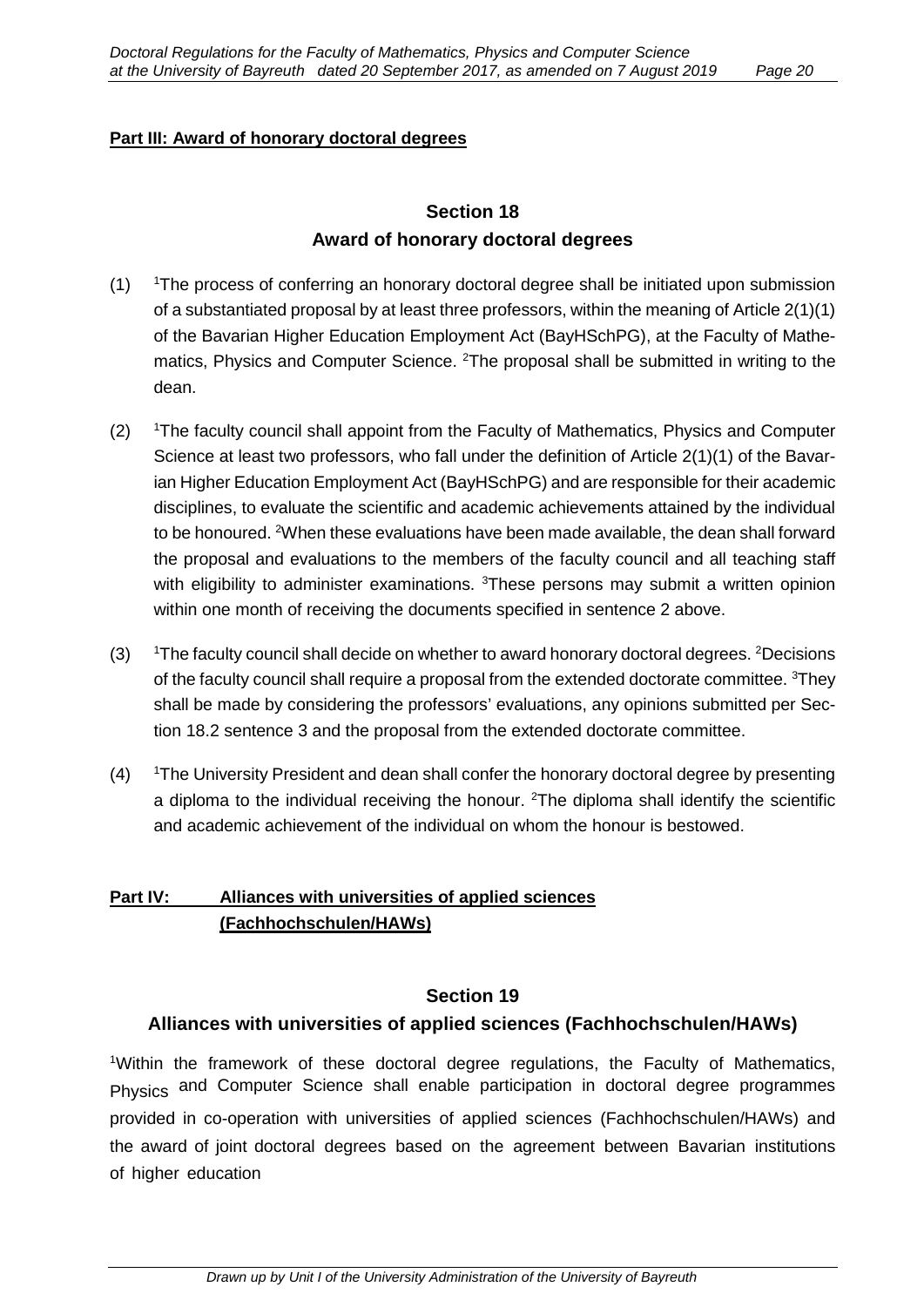#### **Part III: Award of honorary doctoral degrees**

### **Section 18 Award of honorary doctoral degrees**

- $(1)$ <sup>1</sup>The process of conferring an honorary doctoral degree shall be initiated upon submission of a substantiated proposal by at least three professors, within the meaning of Article 2(1)(1) of the Bavarian Higher Education Employment Act (BayHSchPG), at the Faculty of Mathematics, Physics and Computer Science. <sup>2</sup>The proposal shall be submitted in writing to the dean.
- $(2)$ <sup>1</sup>The faculty council shall appoint from the Faculty of Mathematics, Physics and Computer Science at least two professors, who fall under the definition of Article 2(1)(1) of the Bavarian Higher Education Employment Act (BayHSchPG) and are responsible for their academic disciplines, to evaluate the scientific and academic achievements attained by the individual to be honoured. <sup>2</sup>When these evaluations have been made available, the dean shall forward the proposal and evaluations to the members of the faculty council and all teaching staff with eligibility to administer examinations. <sup>3</sup>These persons may submit a written opinion within one month of receiving the documents specified in sentence 2 above.
- $(3)$ The faculty council shall decide on whether to award honorary doctoral degrees. <sup>2</sup>Decisions of the faculty council shall require a proposal from the extended doctorate committee. <sup>3</sup>They shall be made by considering the professors' evaluations, any opinions submitted per Section 18.2 sentence 3 and the proposal from the extended doctorate committee.
- $(4)$ <sup>1</sup>The University President and dean shall confer the honorary doctoral degree by presenting a diploma to the individual receiving the honour. <sup>2</sup>The diploma shall identify the scientific and academic achievement of the individual on whom the honour is bestowed.

#### **Part IV: Alliances with universities of applied sciences (Fachhochschulen/HAWs)**

#### **Section 19**

#### **Alliances with universities of applied sciences (Fachhochschulen/HAWs)**

<sup>1</sup>Within the framework of these doctoral degree regulations, the Faculty of Mathematics, Physics and Computer Science shall enable participation in doctoral degree programmes provided in co-operation with universities of applied sciences (Fachhochschulen/HAWs) and the award of joint doctoral degrees based on the agreement between Bavarian institutions of higher education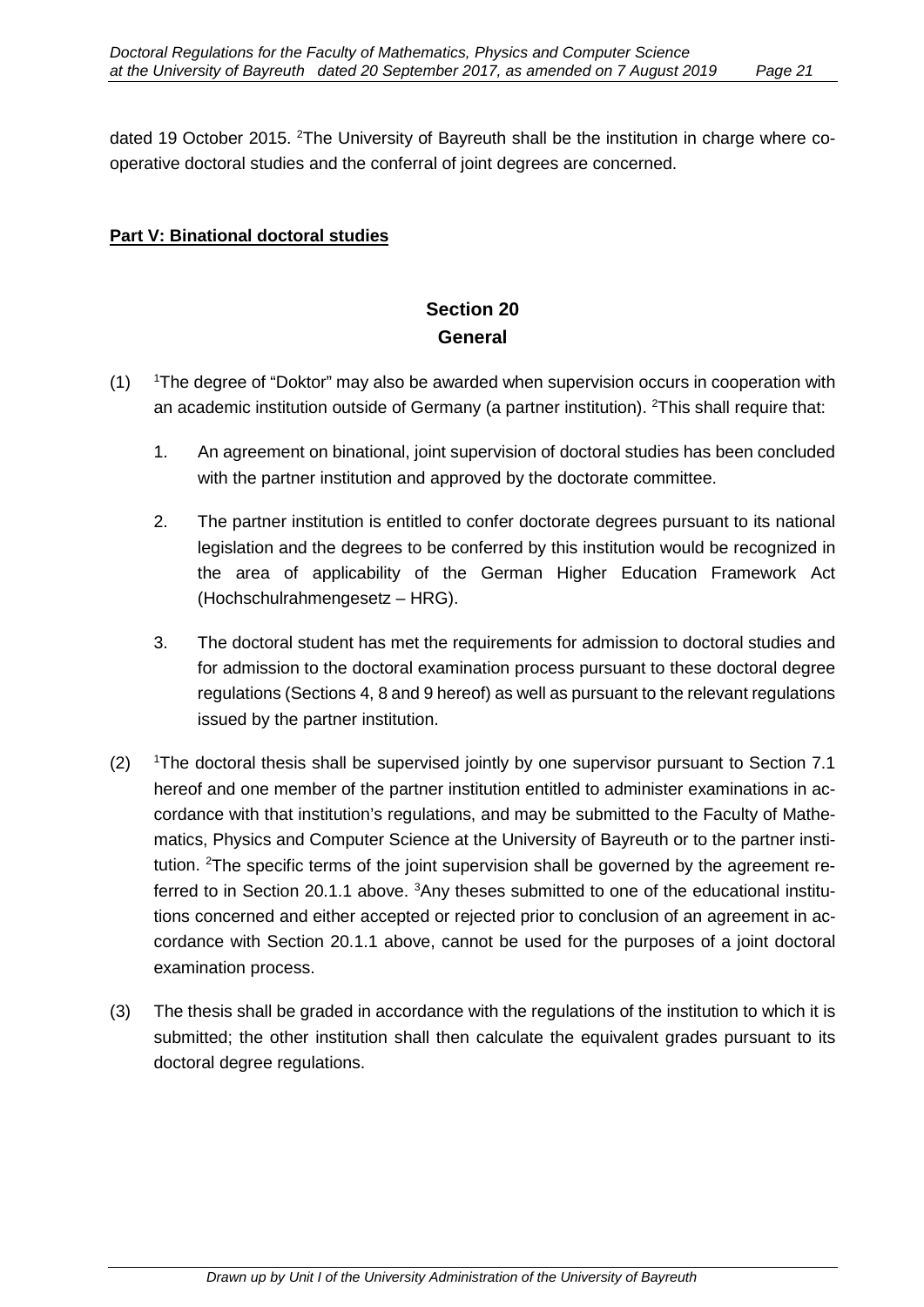dated 19 October 2015. <sup>2</sup>The University of Bayreuth shall be the institution in charge where cooperative doctoral studies and the conferral of joint degrees are concerned.

#### **Part V: Binational doctoral studies**

# **Section 20 General**

- $(1)$ The degree of "Doktor" may also be awarded when supervision occurs in cooperation with an academic institution outside of Germany (a partner institution). <sup>2</sup>This shall require that:
	- 1. An agreement on binational, joint supervision of doctoral studies has been concluded with the partner institution and approved by the doctorate committee.
	- 2. The partner institution is entitled to confer doctorate degrees pursuant to its national legislation and the degrees to be conferred by this institution would be recognized in the area of applicability of the German Higher Education Framework Act (Hochschulrahmengesetz – HRG).
	- 3. The doctoral student has met the requirements for admission to doctoral studies and for admission to the doctoral examination process pursuant to these doctoral degree regulations (Sections 4, 8 and 9 hereof) as well as pursuant to the relevant regulations issued by the partner institution.
- $(2)$ <sup>1</sup>The doctoral thesis shall be supervised jointly by one supervisor pursuant to Section 7.1 hereof and one member of the partner institution entitled to administer examinations in accordance with that institution's regulations, and may be submitted to the Faculty of Mathematics, Physics and Computer Science at the University of Bayreuth or to the partner institution. <sup>2</sup>The specific terms of the joint supervision shall be governed by the agreement referred to in Section 20.1.1 above. <sup>3</sup>Any theses submitted to one of the educational institutions concerned and either accepted or rejected prior to conclusion of an agreement in accordance with Section 20.1.1 above, cannot be used for the purposes of a joint doctoral examination process.
- (3) The thesis shall be graded in accordance with the regulations of the institution to which it is submitted; the other institution shall then calculate the equivalent grades pursuant to its doctoral degree regulations.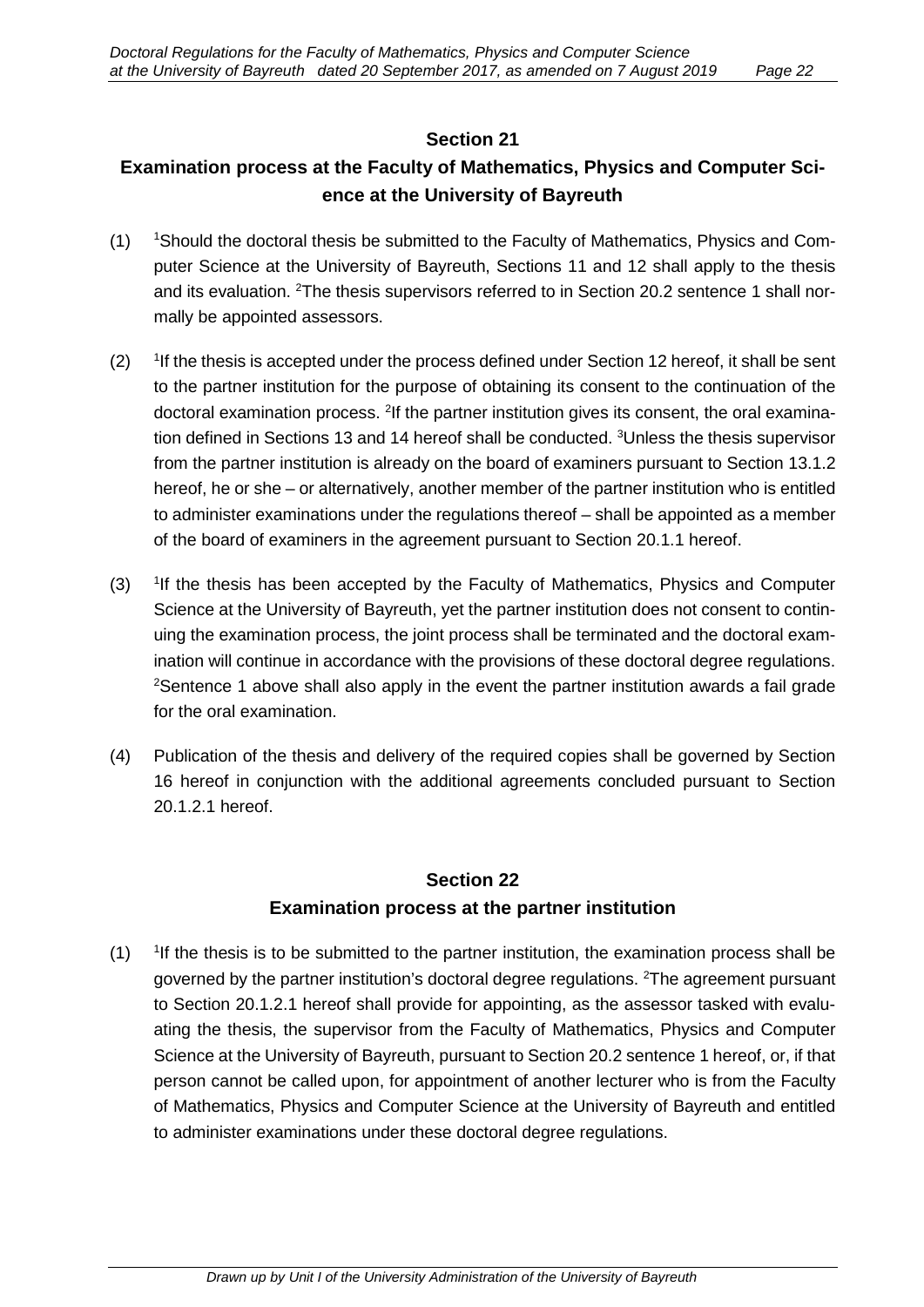#### **Section 21**

# **Examination process at the Faculty of Mathematics, Physics and Computer Science at the University of Bayreuth**

- $(1)$ <sup>1</sup>Should the doctoral thesis be submitted to the Faculty of Mathematics, Physics and Computer Science at the University of Bayreuth, Sections 11 and 12 shall apply to the thesis and its evaluation. <sup>2</sup>The thesis supervisors referred to in Section 20.2 sentence 1 shall normally be appointed assessors.
- $(2)$ If the thesis is accepted under the process defined under Section 12 hereof, it shall be sent to the partner institution for the purpose of obtaining its consent to the continuation of the doctoral examination process. <sup>2</sup>If the partner institution gives its consent, the oral examination defined in Sections 13 and 14 hereof shall be conducted. <sup>3</sup>Unless the thesis supervisor from the partner institution is already on the board of examiners pursuant to Section 13.1.2 hereof, he or she – or alternatively, another member of the partner institution who is entitled to administer examinations under the regulations thereof – shall be appointed as a member of the board of examiners in the agreement pursuant to Section 20.1.1 hereof.
- $(3)$ <sup>1</sup>If the thesis has been accepted by the Faculty of Mathematics, Physics and Computer Science at the University of Bayreuth, yet the partner institution does not consent to continuing the examination process, the joint process shall be terminated and the doctoral examination will continue in accordance with the provisions of these doctoral degree regulations. <sup>2</sup>Sentence 1 above shall also apply in the event the partner institution awards a fail grade for the oral examination.
- (4) Publication of the thesis and delivery of the required copies shall be governed by Section 16 hereof in conjunction with the additional agreements concluded pursuant to Section 20.1.2.1 hereof.

### **Section 22**

### **Examination process at the partner institution**

 $(1)$ If the thesis is to be submitted to the partner institution, the examination process shall be governed by the partner institution's doctoral degree regulations. <sup>2</sup>The agreement pursuant to Section 20.1.2.1 hereof shall provide for appointing, as the assessor tasked with evaluating the thesis, the supervisor from the Faculty of Mathematics, Physics and Computer Science at the University of Bayreuth, pursuant to Section 20.2 sentence 1 hereof, or, if that person cannot be called upon, for appointment of another lecturer who is from the Faculty of Mathematics, Physics and Computer Science at the University of Bayreuth and entitled to administer examinations under these doctoral degree regulations.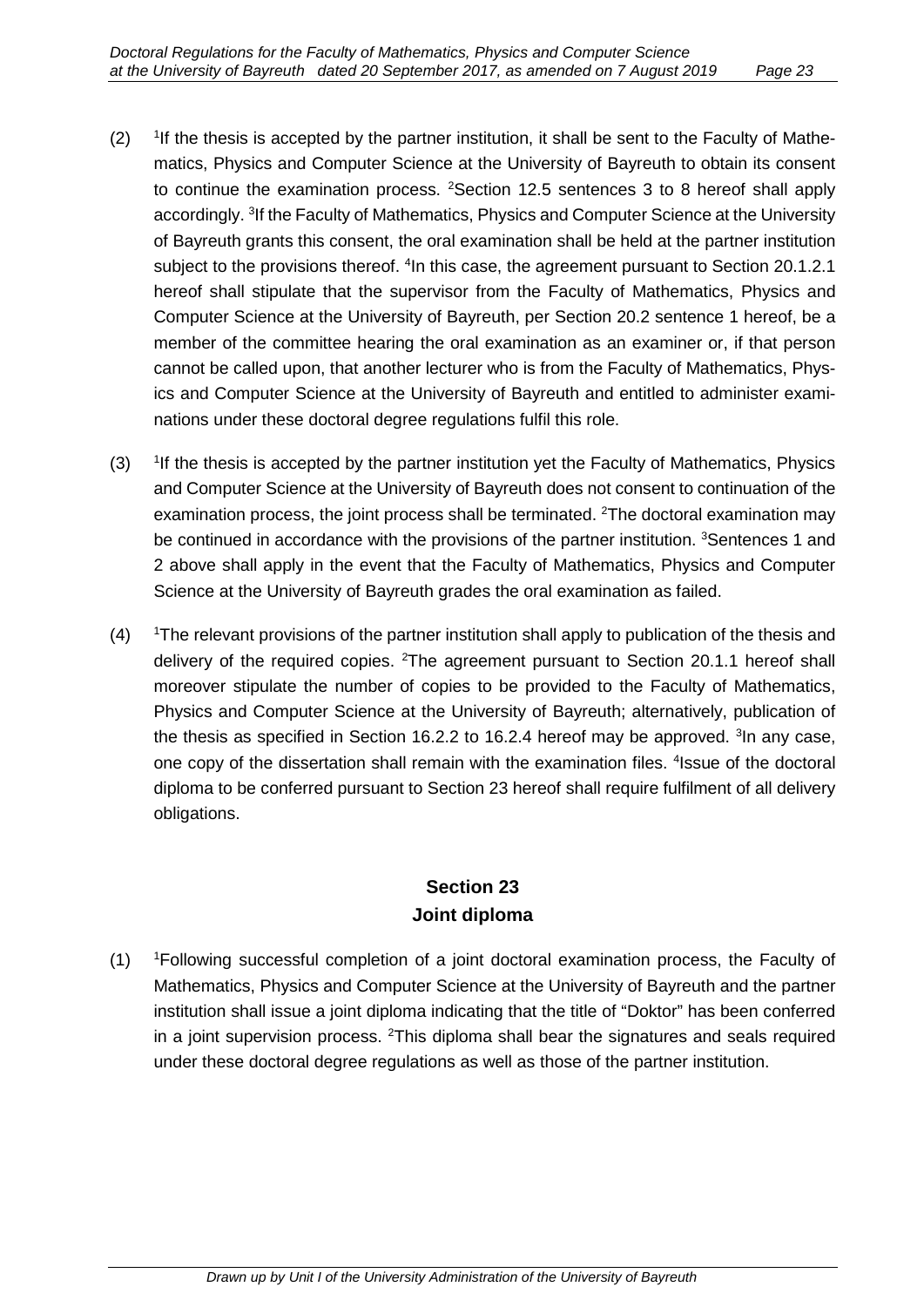- $(2)$ <sup>1</sup>If the thesis is accepted by the partner institution, it shall be sent to the Faculty of Mathematics, Physics and Computer Science at the University of Bayreuth to obtain its consent to continue the examination process. <sup>2</sup>Section 12.5 sentences 3 to 8 hereof shall apply accordingly. <sup>3</sup>If the Faculty of Mathematics, Physics and Computer Science at the University of Bayreuth grants this consent, the oral examination shall be held at the partner institution subject to the provisions thereof. <sup>4</sup>In this case, the agreement pursuant to Section 20.1.2.1 hereof shall stipulate that the supervisor from the Faculty of Mathematics, Physics and Computer Science at the University of Bayreuth, per Section 20.2 sentence 1 hereof, be a member of the committee hearing the oral examination as an examiner or, if that person cannot be called upon, that another lecturer who is from the Faculty of Mathematics, Physics and Computer Science at the University of Bayreuth and entitled to administer examinations under these doctoral degree regulations fulfil this role.
- $(3)$ <sup>1</sup>If the thesis is accepted by the partner institution yet the Faculty of Mathematics, Physics and Computer Science at the University of Bayreuth does not consent to continuation of the examination process, the joint process shall be terminated. <sup>2</sup>The doctoral examination may be continued in accordance with the provisions of the partner institution. <sup>3</sup>Sentences 1 and 2 above shall apply in the event that the Faculty of Mathematics, Physics and Computer Science at the University of Bayreuth grades the oral examination as failed.
- $(4)$ <sup>1</sup>The relevant provisions of the partner institution shall apply to publication of the thesis and delivery of the required copies. <sup>2</sup>The agreement pursuant to Section 20.1.1 hereof shall moreover stipulate the number of copies to be provided to the Faculty of Mathematics, Physics and Computer Science at the University of Bayreuth; alternatively, publication of the thesis as specified in Section 16.2.2 to 16.2.4 hereof may be approved. <sup>3</sup>In any case, one copy of the dissertation shall remain with the examination files. <sup>4</sup>Issue of the doctoral diploma to be conferred pursuant to Section 23 hereof shall require fulfilment of all delivery obligations.

# **Section 23 Joint diploma**

 $(1)$ Following successful completion of a joint doctoral examination process, the Faculty of Mathematics, Physics and Computer Science at the University of Bayreuth and the partner institution shall issue a joint diploma indicating that the title of "Doktor" has been conferred in a joint supervision process. <sup>2</sup>This diploma shall bear the signatures and seals required under these doctoral degree regulations as well as those of the partner institution.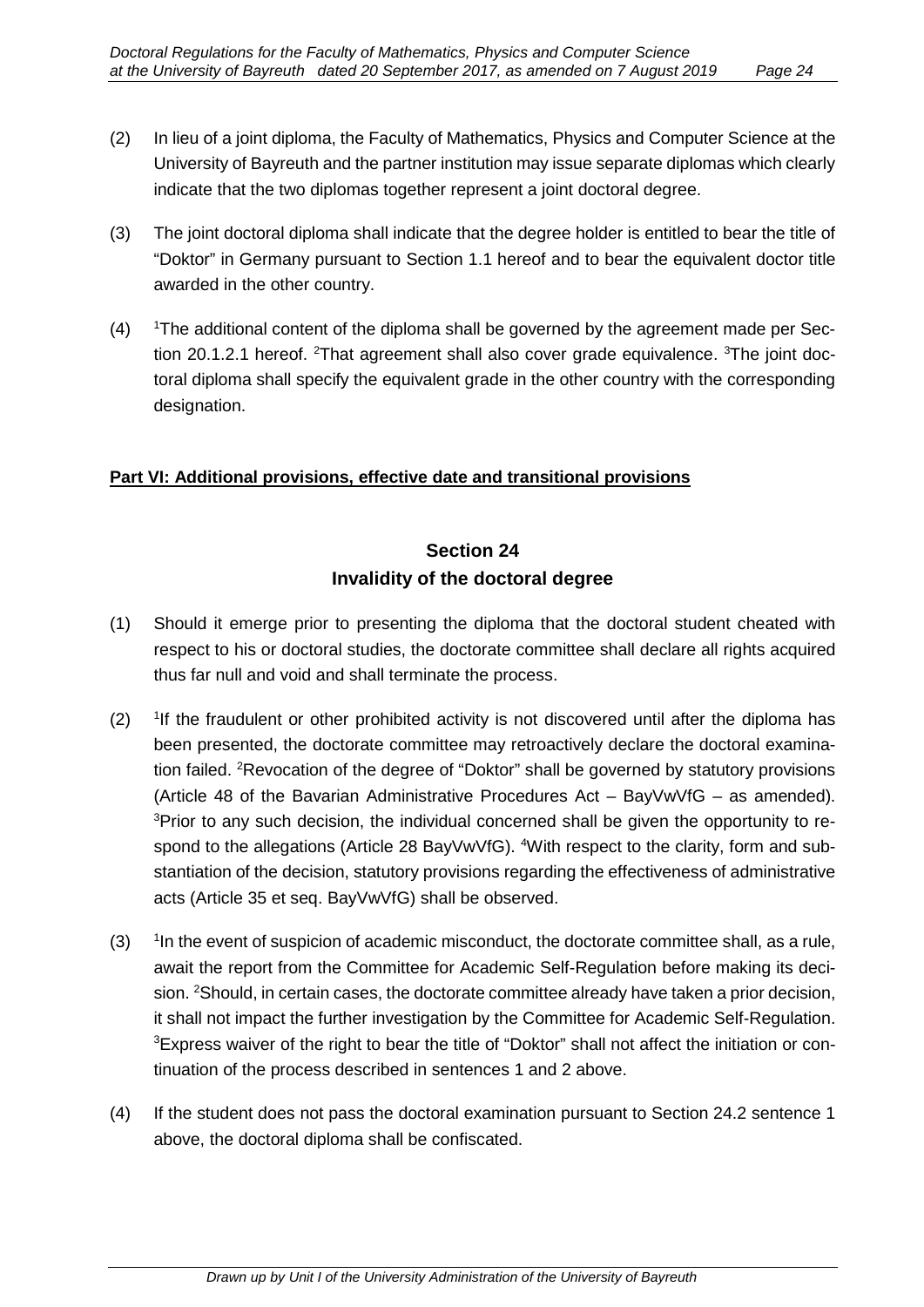- (2) In lieu of a joint diploma, the Faculty of Mathematics, Physics and Computer Science at the University of Bayreuth and the partner institution may issue separate diplomas which clearly indicate that the two diplomas together represent a joint doctoral degree.
- (3) The joint doctoral diploma shall indicate that the degree holder is entitled to bear the title of "Doktor" in Germany pursuant to Section 1.1 hereof and to bear the equivalent doctor title awarded in the other country.
- $(4)$ The additional content of the diploma shall be governed by the agreement made per Section 20.1.2.1 hereof. <sup>2</sup>That agreement shall also cover grade equivalence. <sup>3</sup>The joint doctoral diploma shall specify the equivalent grade in the other country with the corresponding designation.

#### **Part VI: Additional provisions, effective date and transitional provisions**

# **Section 24 Invalidity of the doctoral degree**

- (1) Should it emerge prior to presenting the diploma that the doctoral student cheated with respect to his or doctoral studies, the doctorate committee shall declare all rights acquired thus far null and void and shall terminate the process.
- $(2)$ If the fraudulent or other prohibited activity is not discovered until after the diploma has been presented, the doctorate committee may retroactively declare the doctoral examination failed. <sup>2</sup>Revocation of the degree of "Doktor" shall be governed by statutory provisions (Article 48 of the Bavarian Administrative Procedures Act – BayVwVfG – as amended). <sup>3</sup>Prior to any such decision, the individual concerned shall be given the opportunity to respond to the allegations (Article 28 BayVwVfG). <sup>4</sup>With respect to the clarity, form and substantiation of the decision, statutory provisions regarding the effectiveness of administrative acts (Article 35 et seq. BayVwVfG) shall be observed.
- $(3)$  $1$ n the event of suspicion of academic misconduct, the doctorate committee shall, as a rule, await the report from the Committee for Academic Self-Regulation before making its decision. <sup>2</sup>Should, in certain cases, the doctorate committee already have taken a prior decision, it shall not impact the further investigation by the Committee for Academic Self-Regulation. <sup>3</sup>Express waiver of the right to bear the title of "Doktor" shall not affect the initiation or continuation of the process described in sentences 1 and 2 above.
- (4) If the student does not pass the doctoral examination pursuant to Section 24.2 sentence 1 above, the doctoral diploma shall be confiscated.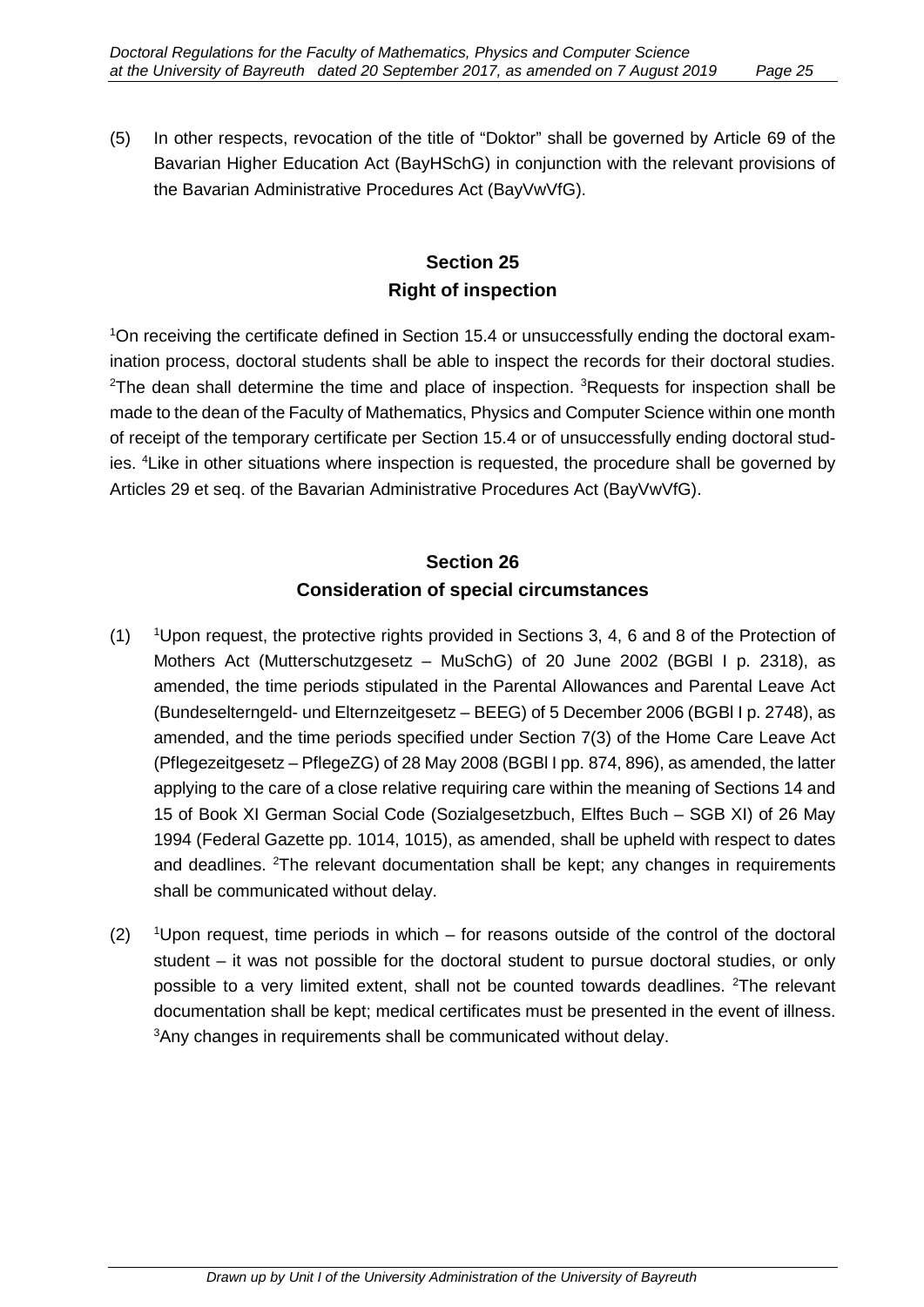(5) In other respects, revocation of the title of "Doktor" shall be governed by Article 69 of the Bavarian Higher Education Act (BayHSchG) in conjunction with the relevant provisions of the Bavarian Administrative Procedures Act (BayVwVfG).

# **Section 25 Right of inspection**

1 On receiving the certificate defined in Section 15.4 or unsuccessfully ending the doctoral examination process, doctoral students shall be able to inspect the records for their doctoral studies. <sup>2</sup>The dean shall determine the time and place of inspection. <sup>3</sup>Requests for inspection shall be made to the dean of the Faculty of Mathematics, Physics and Computer Science within one month of receipt of the temporary certificate per Section 15.4 or of unsuccessfully ending doctoral studies. <sup>4</sup>Like in other situations where inspection is requested, the procedure shall be governed by Articles 29 et seq. of the Bavarian Administrative Procedures Act (BayVwVfG).

# **Section 26 Consideration of special circumstances**

- $(1)$ <sup>1</sup>Upon request, the protective rights provided in Sections 3, 4, 6 and 8 of the Protection of Mothers Act (Mutterschutzgesetz – MuSchG) of 20 June 2002 (BGBl I p. 2318), as amended, the time periods stipulated in the Parental Allowances and Parental Leave Act (Bundeselterngeld- und Elternzeitgesetz – BEEG) of 5 December 2006 (BGBl I p. 2748), as amended, and the time periods specified under Section 7(3) of the Home Care Leave Act (Pflegezeitgesetz – PflegeZG) of 28 May 2008 (BGBl I pp. 874, 896), as amended, the latter applying to the care of a close relative requiring care within the meaning of Sections 14 and 15 of Book XI German Social Code (Sozialgesetzbuch, Elftes Buch – SGB XI) of 26 May 1994 (Federal Gazette pp. 1014, 1015), as amended, shall be upheld with respect to dates and deadlines. <sup>2</sup>The relevant documentation shall be kept; any changes in requirements shall be communicated without delay.
- $(2)$ <sup>1</sup>Upon request, time periods in which – for reasons outside of the control of the doctoral student – it was not possible for the doctoral student to pursue doctoral studies, or only possible to a very limited extent, shall not be counted towards deadlines. <sup>2</sup>The relevant documentation shall be kept; medical certificates must be presented in the event of illness. 3 Any changes in requirements shall be communicated without delay.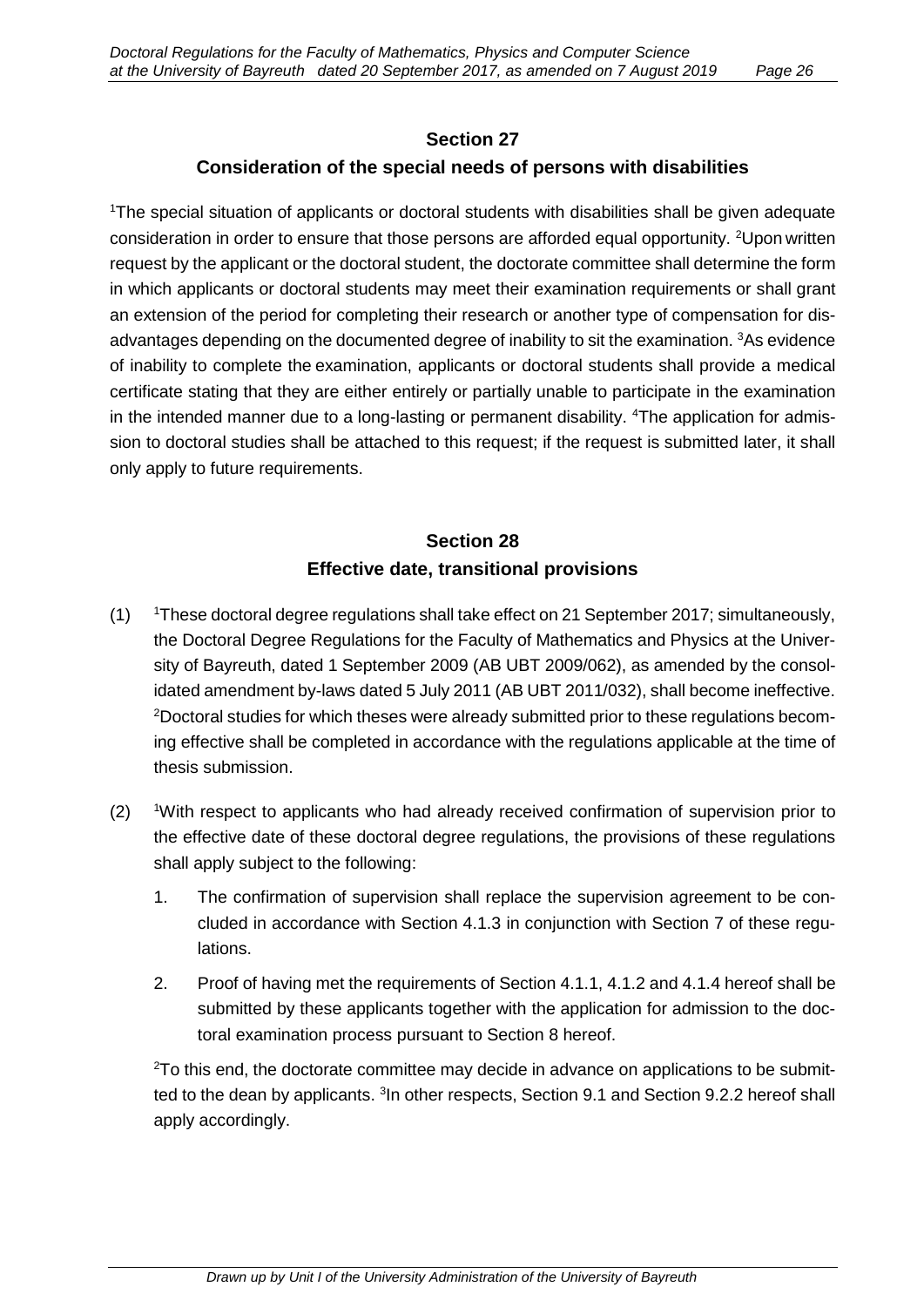# **Section 27 Consideration of the special needs of persons with disabilities**

1 The special situation of applicants or doctoral students with disabilities shall be given adequate consideration in order to ensure that those persons are afforded equal opportunity. <sup>2</sup>Upon written request by the applicant or the doctoral student, the doctorate committee shall determine the form in which applicants or doctoral students may meet their examination requirements or shall grant an extension of the period for completing their research or another type of compensation for disadvantages depending on the documented degree of inability to sit the examination. <sup>3</sup>As evidence of inability to complete the examination, applicants or doctoral students shall provide a medical certificate stating that they are either entirely or partially unable to participate in the examination in the intended manner due to a long-lasting or permanent disability. <sup>4</sup>The application for admission to doctoral studies shall be attached to this request; if the request is submitted later, it shall only apply to future requirements.

# **Section 28 Effective date, transitional provisions**

- $(1)$ These doctoral degree regulations shall take effect on 21 September 2017; simultaneously, the Doctoral Degree Regulations for the Faculty of Mathematics and Physics at the University of Bayreuth, dated 1 September 2009 (AB UBT 2009/062), as amended by the consolidated amendment by-laws dated 5 July 2011 (AB UBT 2011/032), shall become ineffective.  $^{2}$ Doctoral studies for which theses were already submitted prior to these regulations becoming effective shall be completed in accordance with the regulations applicable at the time of thesis submission.
- $(2)$ <sup>1</sup>With respect to applicants who had already received confirmation of supervision prior to the effective date of these doctoral degree regulations, the provisions of these regulations shall apply subject to the following:
	- 1. The confirmation of supervision shall replace the supervision agreement to be concluded in accordance with Section 4.1.3 in conjunction with Section 7 of these regulations.
	- 2. Proof of having met the requirements of Section 4.1.1, 4.1.2 and 4.1.4 hereof shall be submitted by these applicants together with the application for admission to the doctoral examination process pursuant to Section 8 hereof.

 $2$ To this end, the doctorate committee may decide in advance on applications to be submitted to the dean by applicants. <sup>3</sup>In other respects, Section 9.1 and Section 9.2.2 hereof shall apply accordingly.